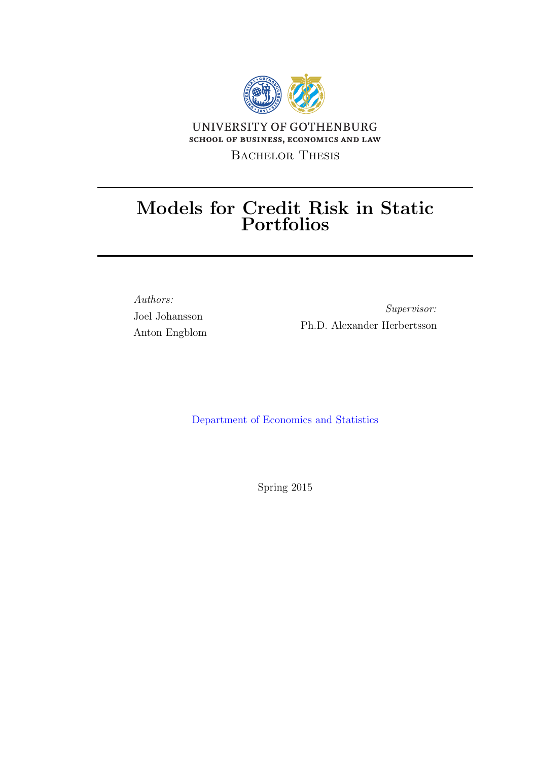

## Models for Credit Risk in Static Portfolios

Authors: Joel Johansson Anton Engblom

Supervisor: Ph.D. Alexander Herbertsson

[Department of Economics and Statistics]( http://http://handels.gu.se)

Spring 2015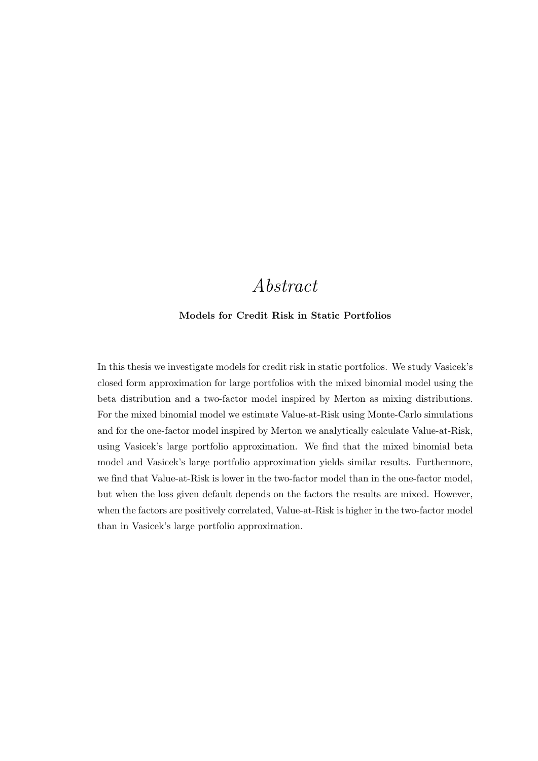## Abstract

#### <span id="page-2-0"></span>Models for Credit Risk in Static Portfolios

In this thesis we investigate models for credit risk in static portfolios. We study Vasicek's closed form approximation for large portfolios with the mixed binomial model using the beta distribution and a two-factor model inspired by Merton as mixing distributions. For the mixed binomial model we estimate Value-at-Risk using Monte-Carlo simulations and for the one-factor model inspired by Merton we analytically calculate Value-at-Risk, using Vasicek's large portfolio approximation. We find that the mixed binomial beta model and Vasicek's large portfolio approximation yields similar results. Furthermore, we find that Value-at-Risk is lower in the two-factor model than in the one-factor model, but when the loss given default depends on the factors the results are mixed. However, when the factors are positively correlated, Value-at-Risk is higher in the two-factor model than in Vasicek's large portfolio approximation.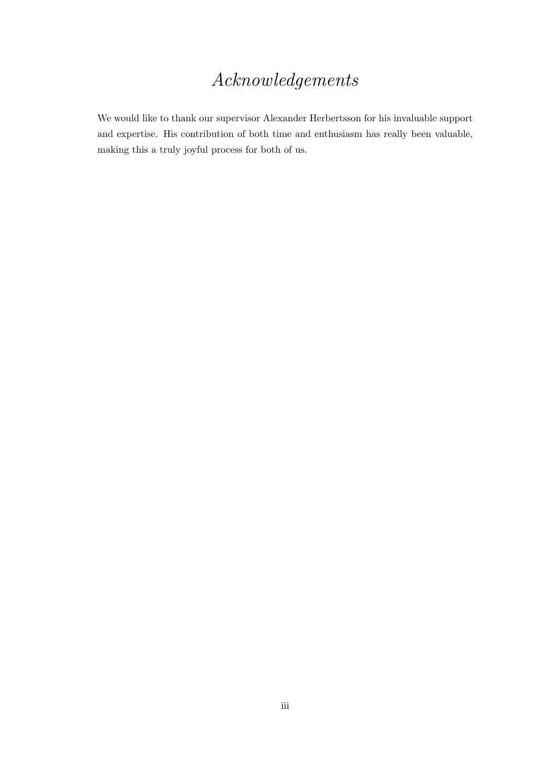## Acknowledgements

<span id="page-3-0"></span>We would like to thank our supervisor Alexander Herbertsson for his invaluable support and expertise. His contribution of both time and enthusiasm has really been valuable, making this a truly joyful process for both of us.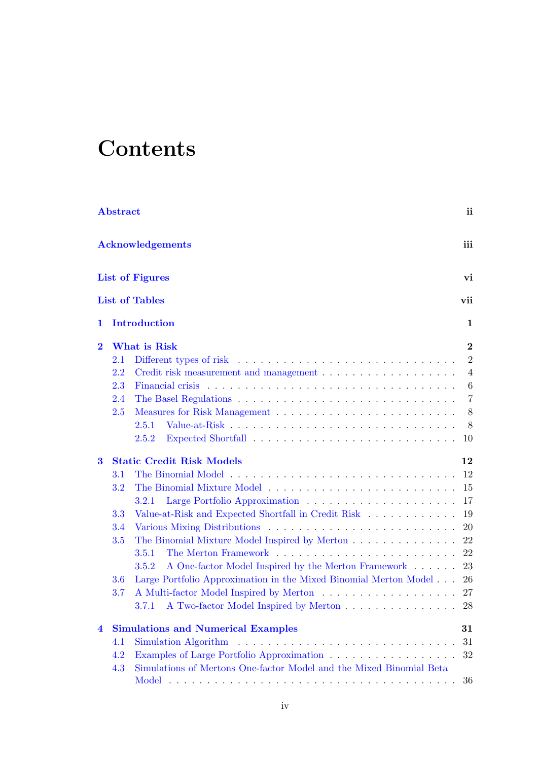# **Contents**

|          | <b>Abstract</b><br>ii          |                                                                                       |                 |  |  |  |  |
|----------|--------------------------------|---------------------------------------------------------------------------------------|-----------------|--|--|--|--|
|          | iii<br><b>Acknowledgements</b> |                                                                                       |                 |  |  |  |  |
|          | <b>List of Figures</b><br>vi   |                                                                                       |                 |  |  |  |  |
|          |                                | <b>List of Tables</b>                                                                 | vii             |  |  |  |  |
| 1        |                                | Introduction                                                                          | 1               |  |  |  |  |
| $\bf{2}$ |                                | What is Risk                                                                          | $\bf{2}$        |  |  |  |  |
|          | 2.1                            |                                                                                       | $\overline{2}$  |  |  |  |  |
|          | $2.2\,$                        | Credit risk measurement and management $\dots \dots \dots \dots \dots \dots \dots$    | $\overline{4}$  |  |  |  |  |
|          | 2.3                            |                                                                                       | $6\phantom{.}6$ |  |  |  |  |
|          | 2.4                            |                                                                                       | $\overline{7}$  |  |  |  |  |
|          | 2.5                            |                                                                                       | 8               |  |  |  |  |
|          |                                | 2.5.1                                                                                 | 8               |  |  |  |  |
|          |                                | 2.5.2                                                                                 | 10              |  |  |  |  |
| $\bf{3}$ |                                | <b>Static Credit Risk Models</b>                                                      | 12              |  |  |  |  |
|          | 3.1                            |                                                                                       | 12              |  |  |  |  |
|          | $3.2\,$                        |                                                                                       | 15              |  |  |  |  |
|          |                                | 3.2.1                                                                                 | 17              |  |  |  |  |
|          | 3.3                            | Value-at-Risk and Expected Shortfall in Credit Risk                                   | 19              |  |  |  |  |
|          | 3.4                            |                                                                                       | 20              |  |  |  |  |
|          | <b>3.5</b>                     | The Binomial Mixture Model Inspired by Merton                                         | 22              |  |  |  |  |
|          |                                | 3.5.1                                                                                 | 22              |  |  |  |  |
|          | 3.6                            | A One-factor Model Inspired by the Merton Framework<br>3.5.2                          | 23<br>26        |  |  |  |  |
|          | 3.7                            | Large Portfolio Approximation in the Mixed Binomial Merton Model                      | 27              |  |  |  |  |
|          |                                | A Two-factor Model Inspired by Merton 28<br>3.7.1                                     |                 |  |  |  |  |
| 4        |                                | <b>Simulations and Numerical Examples</b>                                             | 31              |  |  |  |  |
|          | 4.1                            | Simulation Algorithm $\ldots \ldots \ldots \ldots \ldots \ldots \ldots \ldots \ldots$ | 31              |  |  |  |  |
|          | 4.2                            | Examples of Large Portfolio Approximation                                             | 32              |  |  |  |  |
|          | 4.3                            | Simulations of Mertons One-factor Model and the Mixed Binomial Beta                   |                 |  |  |  |  |
|          |                                |                                                                                       | 36              |  |  |  |  |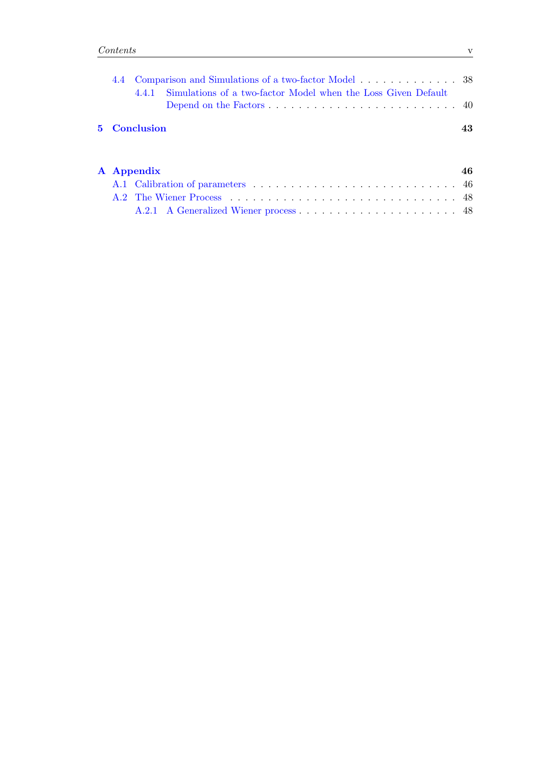|  |  |                     | 4.4.1 Simulations of a two-factor Model when the Loss Given Default |    |
|--|--|---------------------|---------------------------------------------------------------------|----|
|  |  |                     |                                                                     |    |
|  |  | <b>5</b> Conclusion |                                                                     | 43 |
|  |  |                     |                                                                     |    |

|  | A Appendix | 46 |
|--|------------|----|
|  |            |    |
|  |            |    |
|  |            |    |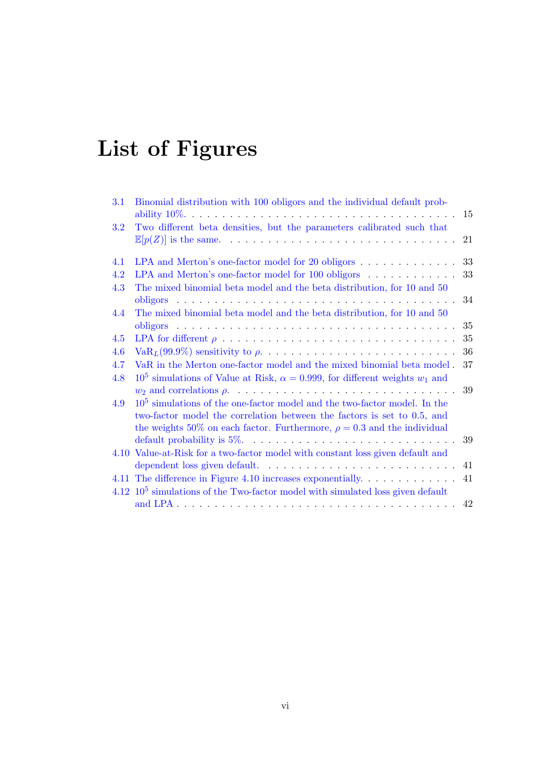# <span id="page-6-0"></span>List of Figures

| 3.1        | Binomial distribution with 100 obligors and the individual default prob-                                                                                                                                                              | 15 |  |
|------------|---------------------------------------------------------------------------------------------------------------------------------------------------------------------------------------------------------------------------------------|----|--|
| 3.2        | Two different beta densities, but the parameters calibrated such that                                                                                                                                                                 | 21 |  |
| 4.1        | LPA and Merton's one-factor model for 20 obligors                                                                                                                                                                                     | 33 |  |
| 4.2        | 33<br>LPA and Merton's one-factor model for 100 obligors                                                                                                                                                                              |    |  |
| 4.3        | The mixed binomial beta model and the beta distribution, for 10 and 50<br>34                                                                                                                                                          |    |  |
| 4.4        | The mixed binomial beta model and the beta distribution, for 10 and 50                                                                                                                                                                | 35 |  |
| 4.5        |                                                                                                                                                                                                                                       | 35 |  |
| 4.6        |                                                                                                                                                                                                                                       | 36 |  |
| 4.7<br>4.8 | VaR in the Merton one-factor model and the mixed binomial beta model.<br>37<br>$10^5$ simulations of Value at Risk, $\alpha = 0.999$ , for different weights $w_1$ and                                                                |    |  |
|            |                                                                                                                                                                                                                                       | 39 |  |
| 4.9        | $105$ simulations of the one-factor model and the two-factor model. In the<br>two-factor model the correlation between the factors is set to 0.5, and<br>the weights 50% on each factor. Furthermore, $\rho = 0.3$ and the individual |    |  |
|            |                                                                                                                                                                                                                                       | 39 |  |
|            | 4.10 Value-at-Risk for a two-factor model with constant loss given default and                                                                                                                                                        |    |  |
|            |                                                                                                                                                                                                                                       | 41 |  |
|            | 4.11 The difference in Figure 4.10 increases exponentially.                                                                                                                                                                           | 41 |  |
|            | $4.12$ $105$ simulations of the Two-factor model with simulated loss given default                                                                                                                                                    |    |  |
|            |                                                                                                                                                                                                                                       | 42 |  |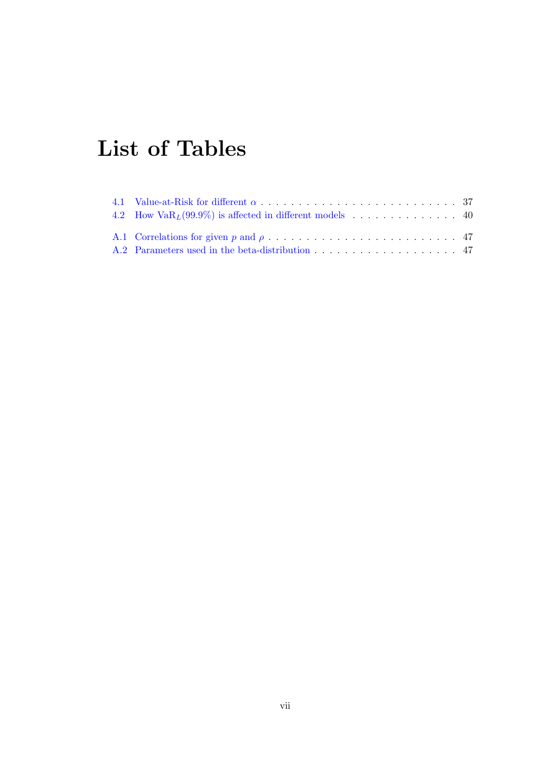# <span id="page-7-0"></span>List of Tables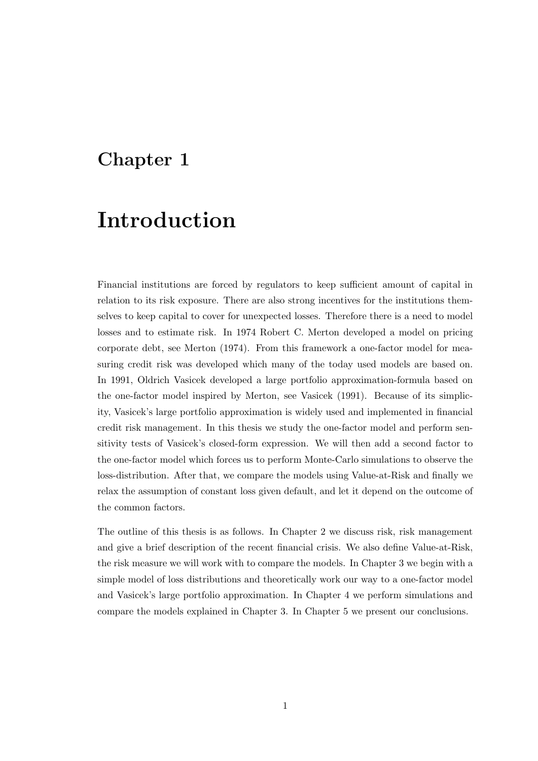## <span id="page-8-0"></span>Chapter 1

## Introduction

Financial institutions are forced by regulators to keep sufficient amount of capital in relation to its risk exposure. There are also strong incentives for the institutions themselves to keep capital to cover for unexpected losses. Therefore there is a need to model losses and to estimate risk. In 1974 Robert C. Merton developed a model on pricing corporate debt, see Merton (1974). From this framework a one-factor model for measuring credit risk was developed which many of the today used models are based on. In 1991, Oldrich Vasicek developed a large portfolio approximation-formula based on the one-factor model inspired by Merton, see Vasicek (1991). Because of its simplicity, Vasicek's large portfolio approximation is widely used and implemented in financial credit risk management. In this thesis we study the one-factor model and perform sensitivity tests of Vasicek's closed-form expression. We will then add a second factor to the one-factor model which forces us to perform Monte-Carlo simulations to observe the loss-distribution. After that, we compare the models using Value-at-Risk and finally we relax the assumption of constant loss given default, and let it depend on the outcome of the common factors.

The outline of this thesis is as follows. In Chapter 2 we discuss risk, risk management and give a brief description of the recent financial crisis. We also define Value-at-Risk, the risk measure we will work with to compare the models. In Chapter 3 we begin with a simple model of loss distributions and theoretically work our way to a one-factor model and Vasicek's large portfolio approximation. In Chapter 4 we perform simulations and compare the models explained in Chapter 3. In Chapter 5 we present our conclusions.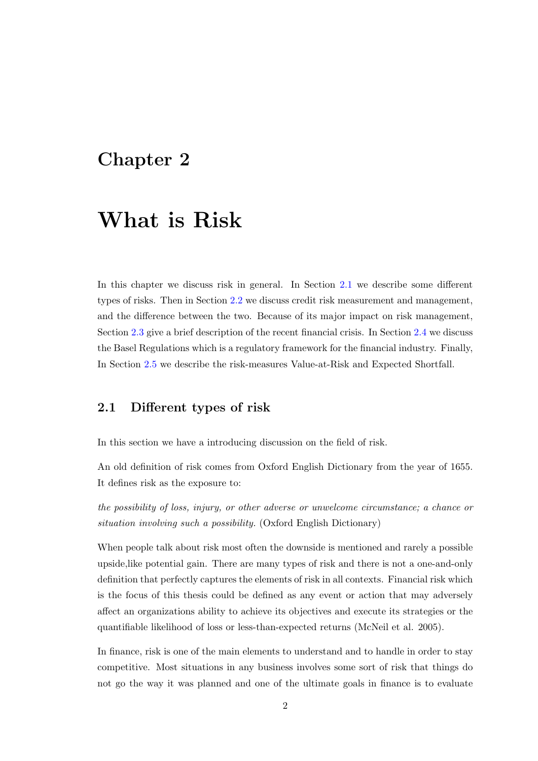## <span id="page-9-0"></span>Chapter 2

## What is Risk

In this chapter we discuss risk in general. In Section [2.1](#page-9-1) we describe some different types of risks. Then in Section [2.2](#page-11-0) we discuss credit risk measurement and management, and the difference between the two. Because of its major impact on risk management, Section [2.3](#page-13-0) give a brief description of the recent financial crisis. In Section [2.4](#page-14-0) we discuss the Basel Regulations which is a regulatory framework for the financial industry. Finally, In Section [2.5](#page-15-0) we describe the risk-measures Value-at-Risk and Expected Shortfall.

### <span id="page-9-1"></span>2.1 Different types of risk

In this section we have a introducing discussion on the field of risk.

An old definition of risk comes from Oxford English Dictionary from the year of 1655. It defines risk as the exposure to:

the possibility of loss, injury, or other adverse or unwelcome circumstance; a chance or situation involving such a possibility. (Oxford English Dictionary)

When people talk about risk most often the downside is mentioned and rarely a possible upside,like potential gain. There are many types of risk and there is not a one-and-only definition that perfectly captures the elements of risk in all contexts. Financial risk which is the focus of this thesis could be defined as any event or action that may adversely affect an organizations ability to achieve its objectives and execute its strategies or the quantifiable likelihood of loss or less-than-expected returns (McNeil et al. 2005).

In finance, risk is one of the main elements to understand and to handle in order to stay competitive. Most situations in any business involves some sort of risk that things do not go the way it was planned and one of the ultimate goals in finance is to evaluate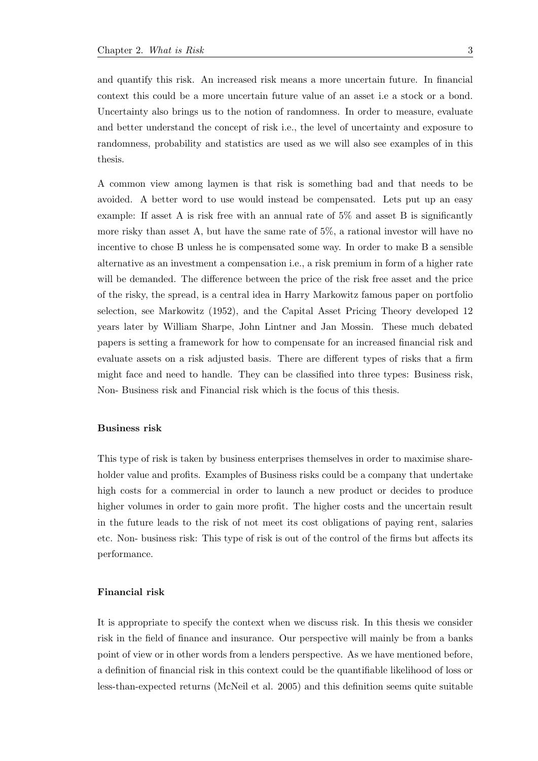and quantify this risk. An increased risk means a more uncertain future. In financial context this could be a more uncertain future value of an asset i.e a stock or a bond. Uncertainty also brings us to the notion of randomness. In order to measure, evaluate and better understand the concept of risk i.e., the level of uncertainty and exposure to randomness, probability and statistics are used as we will also see examples of in this thesis.

A common view among laymen is that risk is something bad and that needs to be avoided. A better word to use would instead be compensated. Lets put up an easy example: If asset A is risk free with an annual rate of 5% and asset B is significantly more risky than asset A, but have the same rate of 5%, a rational investor will have no incentive to chose B unless he is compensated some way. In order to make B a sensible alternative as an investment a compensation i.e., a risk premium in form of a higher rate will be demanded. The difference between the price of the risk free asset and the price of the risky, the spread, is a central idea in Harry Markowitz famous paper on portfolio selection, see Markowitz (1952), and the Capital Asset Pricing Theory developed 12 years later by William Sharpe, John Lintner and Jan Mossin. These much debated papers is setting a framework for how to compensate for an increased financial risk and evaluate assets on a risk adjusted basis. There are different types of risks that a firm might face and need to handle. They can be classified into three types: Business risk, Non- Business risk and Financial risk which is the focus of this thesis.

#### Business risk

This type of risk is taken by business enterprises themselves in order to maximise shareholder value and profits. Examples of Business risks could be a company that undertake high costs for a commercial in order to launch a new product or decides to produce higher volumes in order to gain more profit. The higher costs and the uncertain result in the future leads to the risk of not meet its cost obligations of paying rent, salaries etc. Non- business risk: This type of risk is out of the control of the firms but affects its performance.

#### Financial risk

It is appropriate to specify the context when we discuss risk. In this thesis we consider risk in the field of finance and insurance. Our perspective will mainly be from a banks point of view or in other words from a lenders perspective. As we have mentioned before, a definition of financial risk in this context could be the quantifiable likelihood of loss or less-than-expected returns (McNeil et al. 2005) and this definition seems quite suitable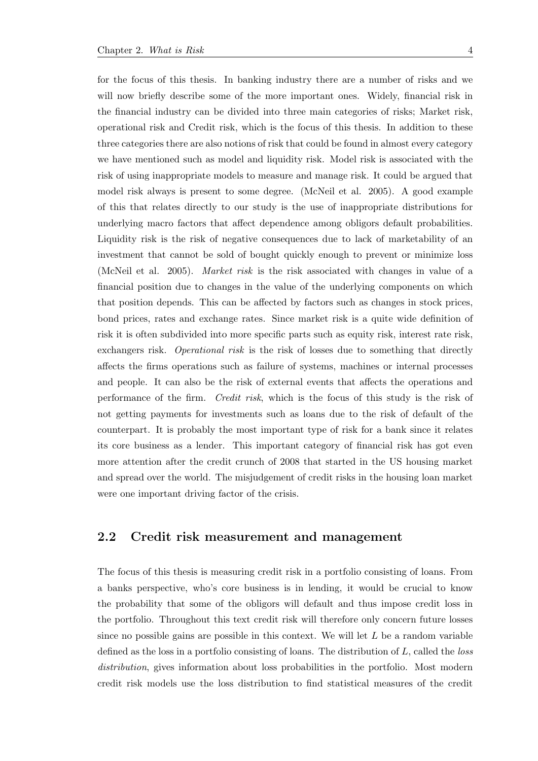for the focus of this thesis. In banking industry there are a number of risks and we will now briefly describe some of the more important ones. Widely, financial risk in the financial industry can be divided into three main categories of risks; Market risk, operational risk and Credit risk, which is the focus of this thesis. In addition to these three categories there are also notions of risk that could be found in almost every category we have mentioned such as model and liquidity risk. Model risk is associated with the risk of using inappropriate models to measure and manage risk. It could be argued that model risk always is present to some degree. (McNeil et al. 2005). A good example of this that relates directly to our study is the use of inappropriate distributions for underlying macro factors that affect dependence among obligors default probabilities. Liquidity risk is the risk of negative consequences due to lack of marketability of an investment that cannot be sold of bought quickly enough to prevent or minimize loss (McNeil et al. 2005). Market risk is the risk associated with changes in value of a financial position due to changes in the value of the underlying components on which that position depends. This can be affected by factors such as changes in stock prices, bond prices, rates and exchange rates. Since market risk is a quite wide definition of risk it is often subdivided into more specific parts such as equity risk, interest rate risk, exchangers risk. *Operational risk* is the risk of losses due to something that directly affects the firms operations such as failure of systems, machines or internal processes and people. It can also be the risk of external events that affects the operations and performance of the firm. Credit risk, which is the focus of this study is the risk of not getting payments for investments such as loans due to the risk of default of the counterpart. It is probably the most important type of risk for a bank since it relates its core business as a lender. This important category of financial risk has got even more attention after the credit crunch of 2008 that started in the US housing market and spread over the world. The misjudgement of credit risks in the housing loan market were one important driving factor of the crisis.

### <span id="page-11-0"></span>2.2 Credit risk measurement and management

The focus of this thesis is measuring credit risk in a portfolio consisting of loans. From a banks perspective, who's core business is in lending, it would be crucial to know the probability that some of the obligors will default and thus impose credit loss in the portfolio. Throughout this text credit risk will therefore only concern future losses since no possible gains are possible in this context. We will let  $L$  be a random variable defined as the loss in a portfolio consisting of loans. The distribution of L, called the loss distribution, gives information about loss probabilities in the portfolio. Most modern credit risk models use the loss distribution to find statistical measures of the credit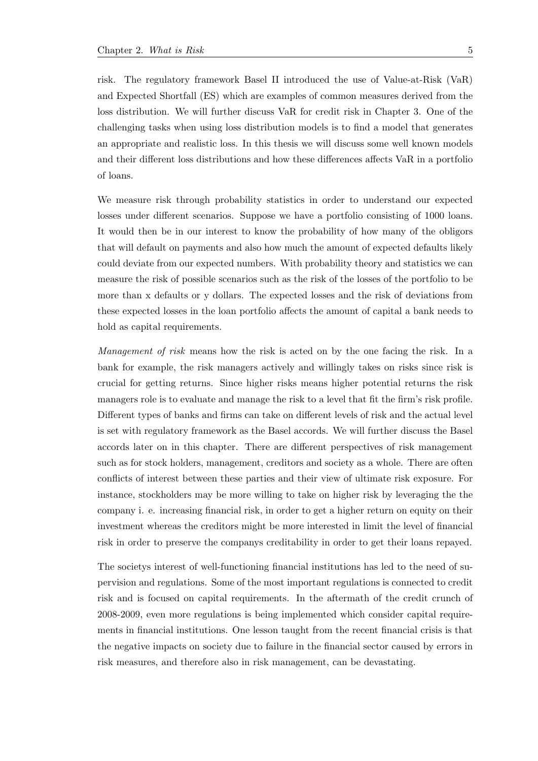risk. The regulatory framework Basel II introduced the use of Value-at-Risk (VaR) and Expected Shortfall (ES) which are examples of common measures derived from the loss distribution. We will further discuss VaR for credit risk in Chapter 3. One of the challenging tasks when using loss distribution models is to find a model that generates an appropriate and realistic loss. In this thesis we will discuss some well known models and their different loss distributions and how these differences affects VaR in a portfolio of loans.

We measure risk through probability statistics in order to understand our expected losses under different scenarios. Suppose we have a portfolio consisting of 1000 loans. It would then be in our interest to know the probability of how many of the obligors that will default on payments and also how much the amount of expected defaults likely could deviate from our expected numbers. With probability theory and statistics we can measure the risk of possible scenarios such as the risk of the losses of the portfolio to be more than x defaults or y dollars. The expected losses and the risk of deviations from these expected losses in the loan portfolio affects the amount of capital a bank needs to hold as capital requirements.

Management of risk means how the risk is acted on by the one facing the risk. In a bank for example, the risk managers actively and willingly takes on risks since risk is crucial for getting returns. Since higher risks means higher potential returns the risk managers role is to evaluate and manage the risk to a level that fit the firm's risk profile. Different types of banks and firms can take on different levels of risk and the actual level is set with regulatory framework as the Basel accords. We will further discuss the Basel accords later on in this chapter. There are different perspectives of risk management such as for stock holders, management, creditors and society as a whole. There are often conflicts of interest between these parties and their view of ultimate risk exposure. For instance, stockholders may be more willing to take on higher risk by leveraging the the company i. e. increasing financial risk, in order to get a higher return on equity on their investment whereas the creditors might be more interested in limit the level of financial risk in order to preserve the companys creditability in order to get their loans repayed.

The societys interest of well-functioning financial institutions has led to the need of supervision and regulations. Some of the most important regulations is connected to credit risk and is focused on capital requirements. In the aftermath of the credit crunch of 2008-2009, even more regulations is being implemented which consider capital requirements in financial institutions. One lesson taught from the recent financial crisis is that the negative impacts on society due to failure in the financial sector caused by errors in risk measures, and therefore also in risk management, can be devastating.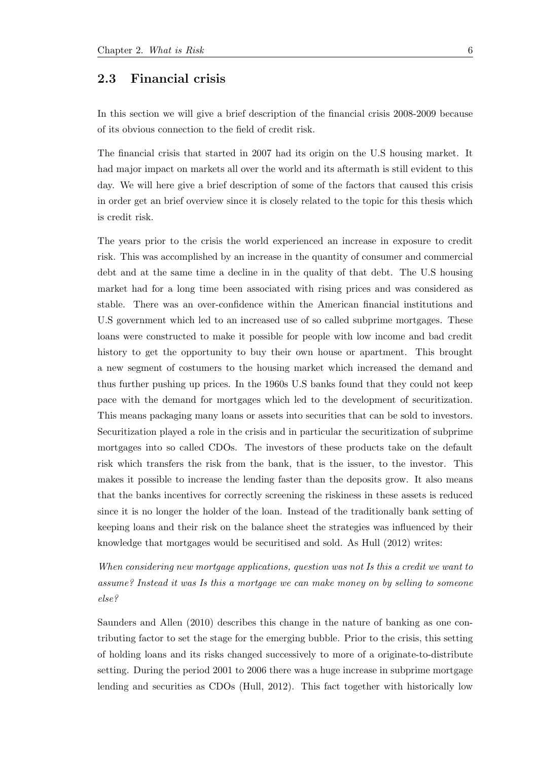### <span id="page-13-0"></span>2.3 Financial crisis

In this section we will give a brief description of the financial crisis 2008-2009 because of its obvious connection to the field of credit risk.

The financial crisis that started in 2007 had its origin on the U.S housing market. It had major impact on markets all over the world and its aftermath is still evident to this day. We will here give a brief description of some of the factors that caused this crisis in order get an brief overview since it is closely related to the topic for this thesis which is credit risk.

The years prior to the crisis the world experienced an increase in exposure to credit risk. This was accomplished by an increase in the quantity of consumer and commercial debt and at the same time a decline in in the quality of that debt. The U.S housing market had for a long time been associated with rising prices and was considered as stable. There was an over-confidence within the American financial institutions and U.S government which led to an increased use of so called subprime mortgages. These loans were constructed to make it possible for people with low income and bad credit history to get the opportunity to buy their own house or apartment. This brought a new segment of costumers to the housing market which increased the demand and thus further pushing up prices. In the 1960s U.S banks found that they could not keep pace with the demand for mortgages which led to the development of securitization. This means packaging many loans or assets into securities that can be sold to investors. Securitization played a role in the crisis and in particular the securitization of subprime mortgages into so called CDOs. The investors of these products take on the default risk which transfers the risk from the bank, that is the issuer, to the investor. This makes it possible to increase the lending faster than the deposits grow. It also means that the banks incentives for correctly screening the riskiness in these assets is reduced since it is no longer the holder of the loan. Instead of the traditionally bank setting of keeping loans and their risk on the balance sheet the strategies was influenced by their knowledge that mortgages would be securitised and sold. As Hull (2012) writes:

When considering new mortgage applications, question was not Is this a credit we want to assume? Instead it was Is this a mortgage we can make money on by selling to someone else?

Saunders and Allen (2010) describes this change in the nature of banking as one contributing factor to set the stage for the emerging bubble. Prior to the crisis, this setting of holding loans and its risks changed successively to more of a originate-to-distribute setting. During the period 2001 to 2006 there was a huge increase in subprime mortgage lending and securities as CDOs (Hull, 2012). This fact together with historically low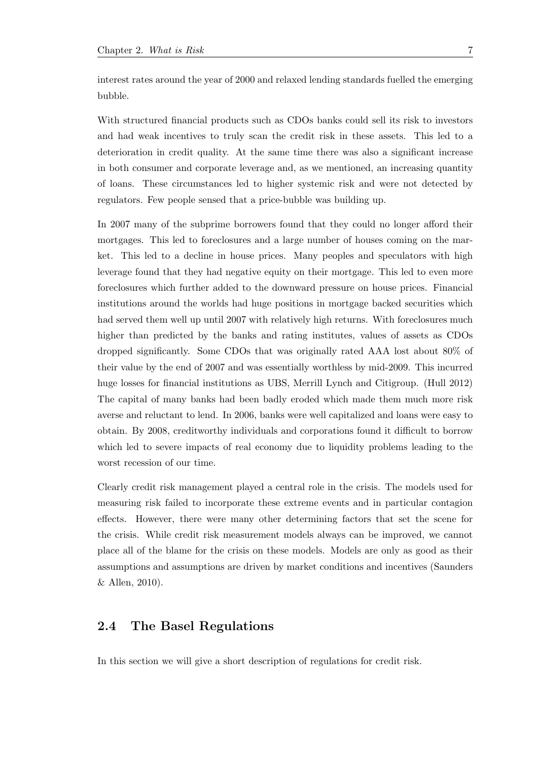interest rates around the year of 2000 and relaxed lending standards fuelled the emerging bubble.

With structured financial products such as CDOs banks could sell its risk to investors and had weak incentives to truly scan the credit risk in these assets. This led to a deterioration in credit quality. At the same time there was also a significant increase in both consumer and corporate leverage and, as we mentioned, an increasing quantity of loans. These circumstances led to higher systemic risk and were not detected by regulators. Few people sensed that a price-bubble was building up.

In 2007 many of the subprime borrowers found that they could no longer afford their mortgages. This led to foreclosures and a large number of houses coming on the market. This led to a decline in house prices. Many peoples and speculators with high leverage found that they had negative equity on their mortgage. This led to even more foreclosures which further added to the downward pressure on house prices. Financial institutions around the worlds had huge positions in mortgage backed securities which had served them well up until 2007 with relatively high returns. With foreclosures much higher than predicted by the banks and rating institutes, values of assets as CDOs dropped significantly. Some CDOs that was originally rated AAA lost about 80% of their value by the end of 2007 and was essentially worthless by mid-2009. This incurred huge losses for financial institutions as UBS, Merrill Lynch and Citigroup. (Hull 2012) The capital of many banks had been badly eroded which made them much more risk averse and reluctant to lend. In 2006, banks were well capitalized and loans were easy to obtain. By 2008, creditworthy individuals and corporations found it difficult to borrow which led to severe impacts of real economy due to liquidity problems leading to the worst recession of our time.

Clearly credit risk management played a central role in the crisis. The models used for measuring risk failed to incorporate these extreme events and in particular contagion effects. However, there were many other determining factors that set the scene for the crisis. While credit risk measurement models always can be improved, we cannot place all of the blame for the crisis on these models. Models are only as good as their assumptions and assumptions are driven by market conditions and incentives (Saunders & Allen, 2010).

### <span id="page-14-0"></span>2.4 The Basel Regulations

In this section we will give a short description of regulations for credit risk.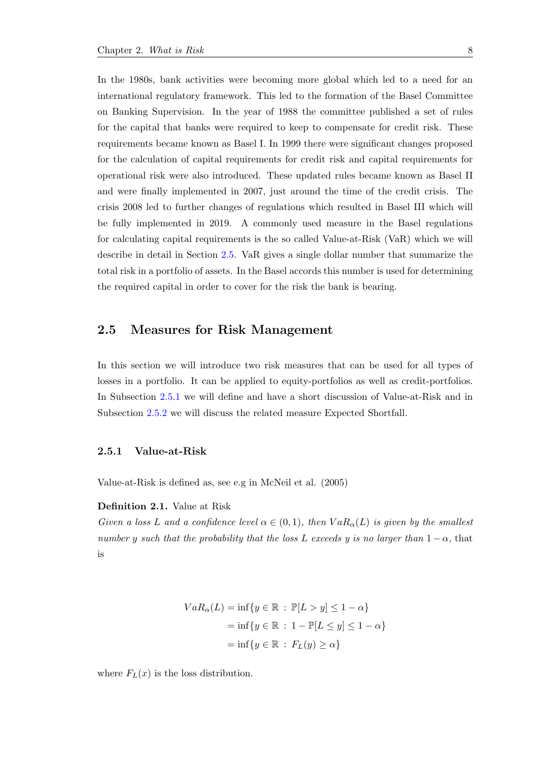In the 1980s, bank activities were becoming more global which led to a need for an international regulatory framework. This led to the formation of the Basel Committee on Banking Supervision. In the year of 1988 the committee published a set of rules for the capital that banks were required to keep to compensate for credit risk. These requirements became known as Basel I. In 1999 there were significant changes proposed for the calculation of capital requirements for credit risk and capital requirements for operational risk were also introduced. These updated rules became known as Basel II and were finally implemented in 2007, just around the time of the credit crisis. The crisis 2008 led to further changes of regulations which resulted in Basel III which will be fully implemented in 2019. A commonly used measure in the Basel regulations for calculating capital requirements is the so called Value-at-Risk (VaR) which we will describe in detail in Section [2.5.](#page-15-0) VaR gives a single dollar number that summarize the total risk in a portfolio of assets. In the Basel accords this number is used for determining the required capital in order to cover for the risk the bank is bearing.

### <span id="page-15-0"></span>2.5 Measures for Risk Management

In this section we will introduce two risk measures that can be used for all types of losses in a portfolio. It can be applied to equity-portfolios as well as credit-portfolios. In Subsection [2.5.1](#page-15-1) we will define and have a short discussion of Value-at-Risk and in Subsection [2.5.2](#page-17-0) we will discuss the related measure Expected Shortfall.

#### <span id="page-15-1"></span>2.5.1 Value-at-Risk

Value-at-Risk is defined as, see e.g in McNeil et al. (2005)

#### Definition 2.1. Value at Risk

Given a loss L and a confidence level  $\alpha \in (0,1)$ , then  $VaR_{\alpha}(L)$  is given by the smallest number y such that the probability that the loss L exceeds y is no larger than  $1 - \alpha$ , that is

$$
VaR_{\alpha}(L) = \inf \{ y \in \mathbb{R} : \mathbb{P}[L > y] \le 1 - \alpha \}
$$

$$
= \inf \{ y \in \mathbb{R} : 1 - \mathbb{P}[L \le y] \le 1 - \alpha \}
$$

$$
= \inf \{ y \in \mathbb{R} : F_L(y) \ge \alpha \}
$$

where  $F_L(x)$  is the loss distribution.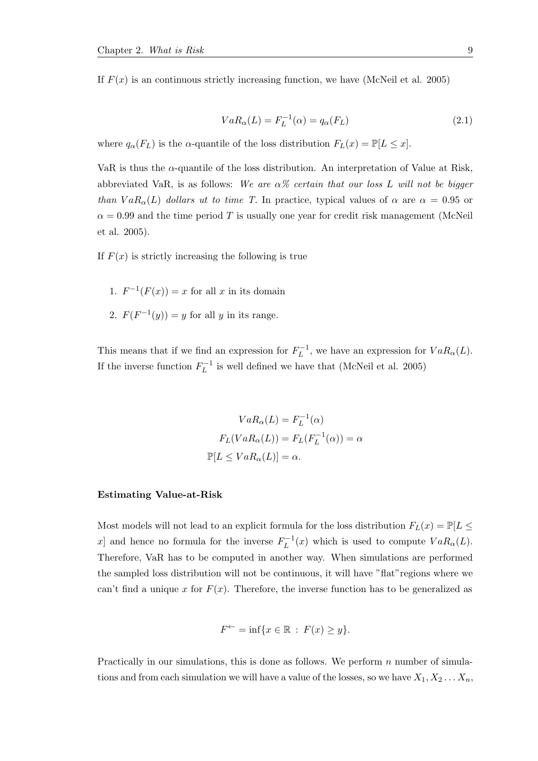If  $F(x)$  is an continuous strictly increasing function, we have (McNeil et al. 2005)

$$
VaR_{\alpha}(L) = F_L^{-1}(\alpha) = q_{\alpha}(F_L)
$$
\n(2.1)

where  $q_{\alpha}(F_L)$  is the  $\alpha$ -quantile of the loss distribution  $F_L(x) = \mathbb{P}[L \leq x]$ .

VaR is thus the  $\alpha$ -quantile of the loss distribution. An interpretation of Value at Risk, abbreviated VaR, is as follows: We are  $\alpha$ % certain that our loss L will not be bigger than  $VaR_{\alpha}(L)$  dollars ut to time T. In practice, typical values of  $\alpha$  are  $\alpha = 0.95$  or  $\alpha = 0.99$  and the time period T is usually one year for credit risk management (McNeil et al. 2005).

If  $F(x)$  is strictly increasing the following is true

- 1.  $F^{-1}(F(x)) = x$  for all x in its domain
- 2.  $F(F^{-1}(y)) = y$  for all y in its range.

This means that if we find an expression for  $F_L^{-1}$  $L^{-1}$ , we have an expression for  $VaR_{\alpha}(L)$ . If the inverse function  $F_L^{-1}$  $L^{-1}$  is well defined we have that (McNeil et al. 2005)

$$
VaR_{\alpha}(L) = F_L^{-1}(\alpha)
$$

$$
F_L(VaR_{\alpha}(L)) = F_L(F_L^{-1}(\alpha)) = \alpha
$$

$$
\mathbb{P}[L \le VaR_{\alpha}(L)] = \alpha.
$$

#### Estimating Value-at-Risk

Most models will not lead to an explicit formula for the loss distribution  $F_L(x) = \mathbb{P}[L \leq$ x and hence no formula for the inverse  $F_L^{-1}$  $L^{-1}(x)$  which is used to compute  $VaR_{\alpha}(L)$ . Therefore, VaR has to be computed in another way. When simulations are performed the sampled loss distribution will not be continuous, it will have "flat"regions where we can't find a unique x for  $F(x)$ . Therefore, the inverse function has to be generalized as

$$
F^{\leftarrow} = \inf \{ x \in \mathbb{R} : F(x) \ge y \}.
$$

Practically in our simulations, this is done as follows. We perform  $n$  number of simulations and from each simulation we will have a value of the losses, so we have  $X_1, X_2 \ldots X_n$ ,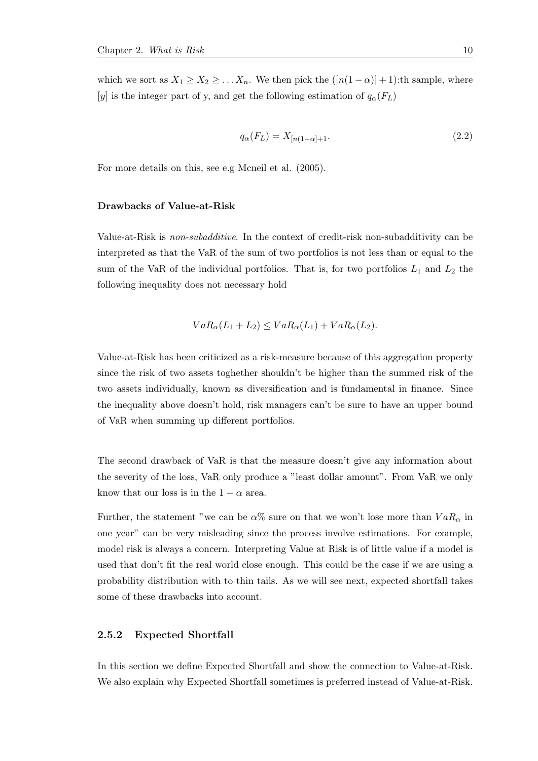which we sort as  $X_1 \geq X_2 \geq \ldots X_n$ . We then pick the  $([n(1-\alpha)]+1)$ :th sample, where [y] is the integer part of y, and get the following estimation of  $q_{\alpha}(F_L)$ 

$$
q_{\alpha}(F_L) = X_{[n(1-\alpha)+1]}.\tag{2.2}
$$

For more details on this, see e.g Mcneil et al. (2005).

#### Drawbacks of Value-at-Risk

Value-at-Risk is non-subadditive. In the context of credit-risk non-subadditivity can be interpreted as that the VaR of the sum of two portfolios is not less than or equal to the sum of the VaR of the individual portfolios. That is, for two portfolios  $L_1$  and  $L_2$  the following inequality does not necessary hold

$$
VaR_{\alpha}(L_1 + L_2) \le VaR_{\alpha}(L_1) + VaR_{\alpha}(L_2).
$$

Value-at-Risk has been criticized as a risk-measure because of this aggregation property since the risk of two assets toghether shouldn't be higher than the summed risk of the two assets individually, known as diversification and is fundamental in finance. Since the inequality above doesn't hold, risk managers can't be sure to have an upper bound of VaR when summing up different portfolios.

The second drawback of VaR is that the measure doesn't give any information about the severity of the loss, VaR only produce a "least dollar amount". From VaR we only know that our loss is in the  $1 - \alpha$  area.

Further, the statement "we can be  $\alpha\%$  sure on that we won't lose more than  $VaR_\alpha$  in one year" can be very misleading since the process involve estimations. For example, model risk is always a concern. Interpreting Value at Risk is of little value if a model is used that don't fit the real world close enough. This could be the case if we are using a probability distribution with to thin tails. As we will see next, expected shortfall takes some of these drawbacks into account.

#### <span id="page-17-0"></span>2.5.2 Expected Shortfall

In this section we define Expected Shortfall and show the connection to Value-at-Risk. We also explain why Expected Shortfall sometimes is preferred instead of Value-at-Risk.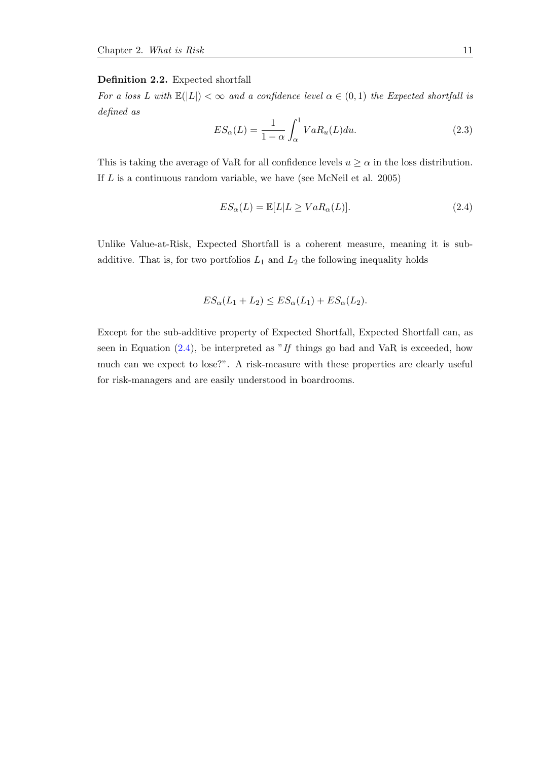#### Definition 2.2. Expected shortfall

For a loss L with  $\mathbb{E}(|L|) < \infty$  and a confidence level  $\alpha \in (0,1)$  the Expected shortfall is defined as

$$
ES_{\alpha}(L) = \frac{1}{1 - \alpha} \int_{\alpha}^{1} VaR_{u}(L)du.
$$
 (2.3)

This is taking the average of VaR for all confidence levels  $u \ge \alpha$  in the loss distribution. If  $L$  is a continuous random variable, we have (see McNeil et al. 2005)

<span id="page-18-0"></span>
$$
ES_{\alpha}(L) = \mathbb{E}[L|L \ge VaR_{\alpha}(L)].
$$
\n(2.4)

Unlike Value-at-Risk, Expected Shortfall is a coherent measure, meaning it is subadditive. That is, for two portfolios  $L_1$  and  $L_2$  the following inequality holds

$$
ES_{\alpha}(L_1 + L_2) \le ES_{\alpha}(L_1) + ES_{\alpha}(L_2).
$$

Except for the sub-additive property of Expected Shortfall, Expected Shortfall can, as seen in Equation  $(2.4)$ , be interpreted as "If things go bad and VaR is exceeded, how much can we expect to lose?". A risk-measure with these properties are clearly useful for risk-managers and are easily understood in boardrooms.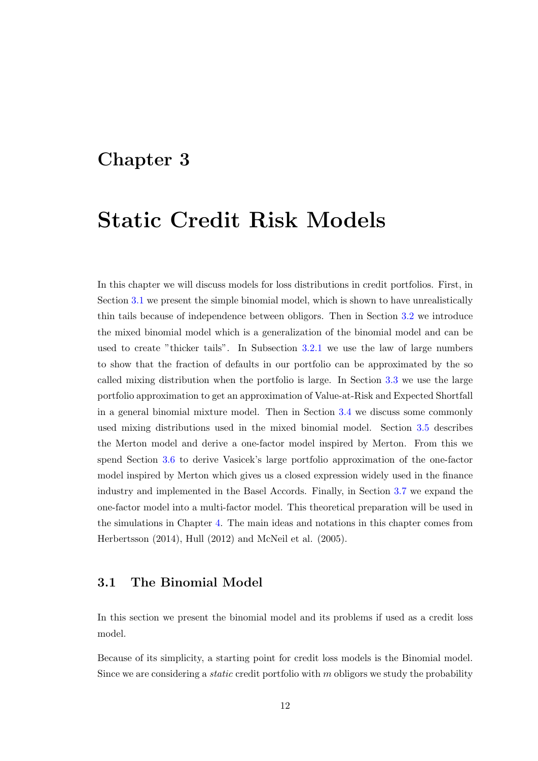## <span id="page-19-0"></span>Chapter 3

## Static Credit Risk Models

In this chapter we will discuss models for loss distributions in credit portfolios. First, in Section [3.1](#page-19-1) we present the simple binomial model, which is shown to have unrealistically thin tails because of independence between obligors. Then in Section [3.2](#page-22-0) we introduce the mixed binomial model which is a generalization of the binomial model and can be used to create "thicker tails". In Subsection [3.2.1](#page-24-0) we use the law of large numbers to show that the fraction of defaults in our portfolio can be approximated by the so called mixing distribution when the portfolio is large. In Section [3.3](#page-26-0) we use the large portfolio approximation to get an approximation of Value-at-Risk and Expected Shortfall in a general binomial mixture model. Then in Section [3.4](#page-27-0) we discuss some commonly used mixing distributions used in the mixed binomial model. Section [3.5](#page-29-0) describes the Merton model and derive a one-factor model inspired by Merton. From this we spend Section [3.6](#page-33-0) to derive Vasicek's large portfolio approximation of the one-factor model inspired by Merton which gives us a closed expression widely used in the finance industry and implemented in the Basel Accords. Finally, in Section [3.7](#page-34-0) we expand the one-factor model into a multi-factor model. This theoretical preparation will be used in the simulations in Chapter [4.](#page-38-0) The main ideas and notations in this chapter comes from Herbertsson (2014), Hull (2012) and McNeil et al. (2005).

### <span id="page-19-1"></span>3.1 The Binomial Model

In this section we present the binomial model and its problems if used as a credit loss model.

Because of its simplicity, a starting point for credit loss models is the Binomial model. Since we are considering a *static* credit portfolio with  $m$  obligors we study the probability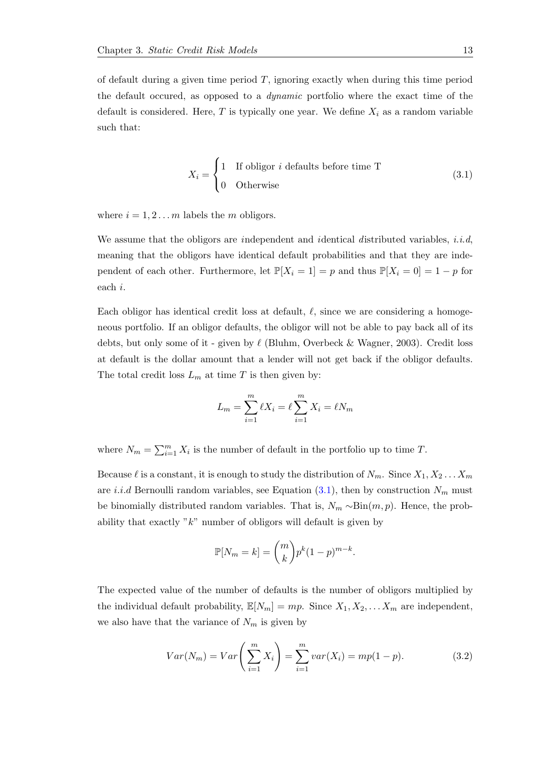of default during a given time period  $T$ , ignoring exactly when during this time period the default occured, as opposed to a dynamic portfolio where the exact time of the default is considered. Here, T is typically one year. We define  $X_i$  as a random variable such that:

<span id="page-20-0"></span>
$$
X_i = \begin{cases} 1 & \text{If obligor } i \text{ defaults before time T} \\ 0 & \text{Otherwise} \end{cases}
$$
 (3.1)

where  $i = 1, 2, \ldots, m$  labels the m obligors.

We assume that the obligors are independent and identical distributed variables, *i.i.d.* meaning that the obligors have identical default probabilities and that they are independent of each other. Furthermore, let  $\mathbb{P}[X_i = 1] = p$  and thus  $\mathbb{P}[X_i = 0] = 1 - p$  for each i.

Each obligor has identical credit loss at default,  $\ell$ , since we are considering a homogeneous portfolio. If an obligor defaults, the obligor will not be able to pay back all of its debts, but only some of it - given by  $\ell$  (Bluhm, Overbeck & Wagner, 2003). Credit loss at default is the dollar amount that a lender will not get back if the obligor defaults. The total credit loss  $L_m$  at time T is then given by:

$$
L_m = \sum_{i=1}^{m} \ell X_i = \ell \sum_{i=1}^{m} X_i = \ell N_m
$$

where  $N_m = \sum_{i=1}^m X_i$  is the number of default in the portfolio up to time T.

Because  $\ell$  is a constant, it is enough to study the distribution of  $N_m$ . Since  $X_1, X_2 \ldots X_m$ are *i.i.d* Bernoulli random variables, see Equation  $(3.1)$ , then by construction  $N_m$  must be binomially distributed random variables. That is,  $N_m \sim Bin(m, p)$ . Hence, the probability that exactly " $k$ " number of obligors will default is given by

$$
\mathbb{P}[N_m = k] = \binom{m}{k} p^k (1-p)^{m-k}.
$$

The expected value of the number of defaults is the number of obligors multiplied by the individual default probability,  $\mathbb{E}[N_m] = mp$ . Since  $X_1, X_2, \ldots, X_m$  are independent, we also have that the variance of  $N_m$  is given by

<span id="page-20-1"></span>
$$
Var(N_m) = Var\left(\sum_{i=1}^{m} X_i\right) = \sum_{i=1}^{m} var(X_i) = mp(1 - p).
$$
 (3.2)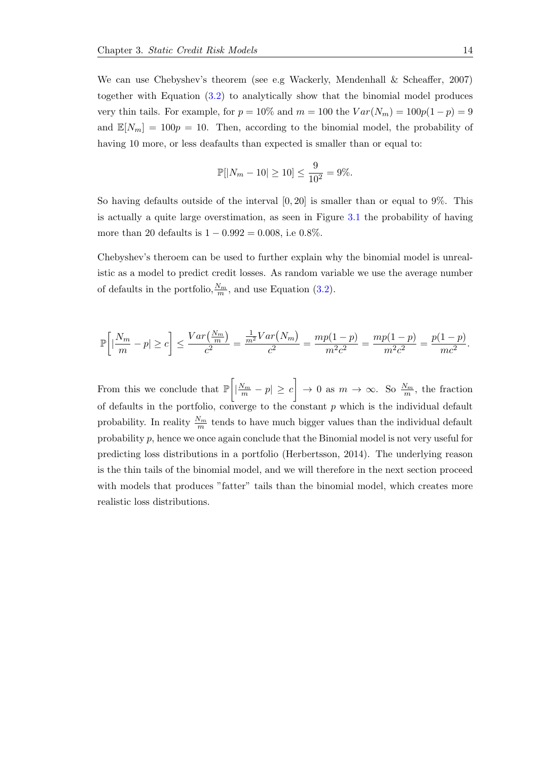We can use Chebyshev's theorem (see e.g Wackerly, Mendenhall & Scheaffer, 2007) together with Equation [\(3.2\)](#page-20-1) to analytically show that the binomial model produces very thin tails. For example, for  $p = 10\%$  and  $m = 100$  the  $Var(N_m) = 100p(1-p) = 9$ and  $\mathbb{E}[N_m] = 100p = 10$ . Then, according to the binomial model, the probability of having 10 more, or less deafaults than expected is smaller than or equal to:

$$
\mathbb{P}[|N_m - 10| \ge 10] \le \frac{9}{10^2} = 9\%.
$$

So having defaults outside of the interval  $[0, 20]$  is smaller than or equal to 9%. This is actually a quite large overstimation, as seen in Figure [3.1](#page-22-1) the probability of having more than 20 defaults is  $1 - 0.992 = 0.008$ , i.e 0.8%.

Chebyshev's theroem can be used to further explain why the binomial model is unrealistic as a model to predict credit losses. As random variable we use the average number of defaults in the portfolio,  $\frac{N_m}{m}$ , and use Equation [\(3.2\)](#page-20-1).

$$
\mathbb{P}\left[\left|\frac{N_m}{m} - p\right| \ge c\right] \le \frac{Var\left(\frac{N_m}{m}\right)}{c^2} = \frac{\frac{1}{m^2}Var\left(N_m\right)}{c^2} = \frac{mp(1-p)}{m^2c^2} = \frac{mp(1-p)}{m^2c^2} = \frac{p(1-p)}{mc^2}.
$$

From this we conclude that  $\mathbb{P}\left[\left|\frac{N_m}{m}-p\right|\geq c\right]\to 0$  as  $m\to\infty$ . So  $\frac{N_m}{m}$ , the fraction of defaults in the portfolio, converge to the constant  $p$  which is the individual default probability. In reality  $\frac{N_m}{m}$  tends to have much bigger values than the individual default probability p, hence we once again conclude that the Binomial model is not very useful for predicting loss distributions in a portfolio (Herbertsson, 2014). The underlying reason is the thin tails of the binomial model, and we will therefore in the next section proceed with models that produces "fatter" tails than the binomial model, which creates more realistic loss distributions.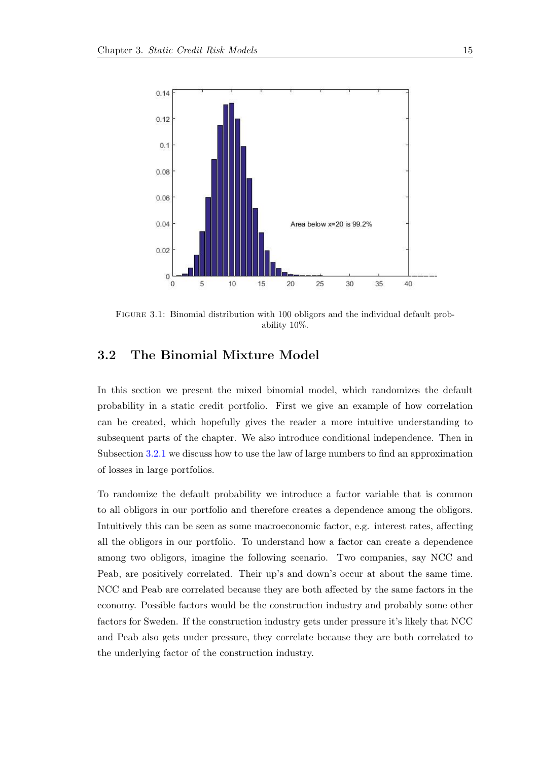<span id="page-22-1"></span>

Figure 3.1: Binomial distribution with 100 obligors and the individual default probability 10%.

### <span id="page-22-0"></span>3.2 The Binomial Mixture Model

In this section we present the mixed binomial model, which randomizes the default probability in a static credit portfolio. First we give an example of how correlation can be created, which hopefully gives the reader a more intuitive understanding to subsequent parts of the chapter. We also introduce conditional independence. Then in Subsection [3.2.1](#page-24-0) we discuss how to use the law of large numbers to find an approximation of losses in large portfolios.

To randomize the default probability we introduce a factor variable that is common to all obligors in our portfolio and therefore creates a dependence among the obligors. Intuitively this can be seen as some macroeconomic factor, e.g. interest rates, affecting all the obligors in our portfolio. To understand how a factor can create a dependence among two obligors, imagine the following scenario. Two companies, say NCC and Peab, are positively correlated. Their up's and down's occur at about the same time. NCC and Peab are correlated because they are both affected by the same factors in the economy. Possible factors would be the construction industry and probably some other factors for Sweden. If the construction industry gets under pressure it's likely that NCC and Peab also gets under pressure, they correlate because they are both correlated to the underlying factor of the construction industry.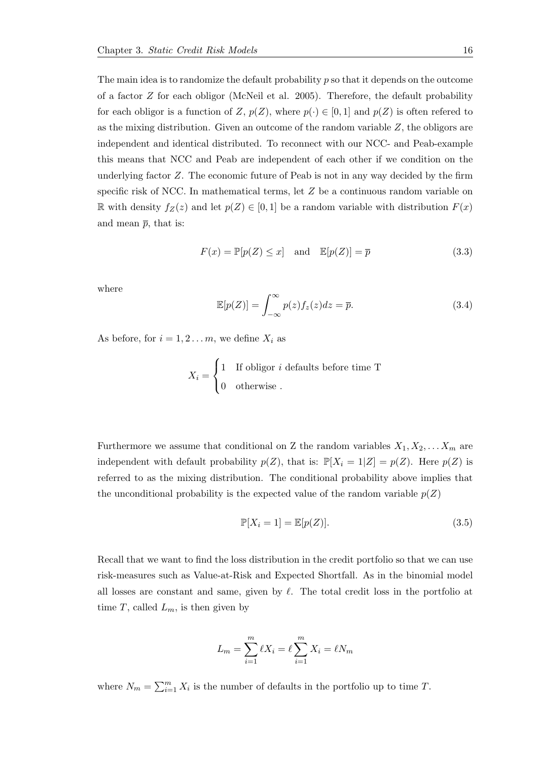The main idea is to randomize the default probability  $p$  so that it depends on the outcome of a factor Z for each obligor (McNeil et al. 2005). Therefore, the default probability for each obligor is a function of Z,  $p(Z)$ , where  $p(\cdot) \in [0,1]$  and  $p(Z)$  is often refered to as the mixing distribution. Given an outcome of the random variable  $Z$ , the obligors are independent and identical distributed. To reconnect with our NCC- and Peab-example this means that NCC and Peab are independent of each other if we condition on the underlying factor Z. The economic future of Peab is not in any way decided by the firm specific risk of NCC. In mathematical terms, let  $Z$  be a continuous random variable on R with density  $f_Z(z)$  and let  $p(Z) \in [0,1]$  be a random variable with distribution  $F(x)$ and mean  $\bar{p}$ , that is:

$$
F(x) = \mathbb{P}[p(Z) \le x] \quad \text{and} \quad \mathbb{E}[p(Z)] = \overline{p} \tag{3.3}
$$

where

$$
\mathbb{E}[p(Z)] = \int_{-\infty}^{\infty} p(z) f_z(z) dz = \overline{p}.
$$
 (3.4)

As before, for  $i = 1, 2...m$ , we define  $X_i$  as

$$
X_i = \begin{cases} 1 & \text{If obligor } i \text{ defaults before time T} \\ 0 & \text{otherwise} \end{cases}
$$

Furthermore we assume that conditional on Z the random variables  $X_1, X_2, \ldots X_m$  are independent with default probability  $p(Z)$ , that is:  $\mathbb{P}[X_i = 1|Z] = p(Z)$ . Here  $p(Z)$  is referred to as the mixing distribution. The conditional probability above implies that the unconditional probability is the expected value of the random variable  $p(Z)$ 

$$
\mathbb{P}[X_i = 1] = \mathbb{E}[p(Z)].\tag{3.5}
$$

Recall that we want to find the loss distribution in the credit portfolio so that we can use risk-measures such as Value-at-Risk and Expected Shortfall. As in the binomial model all losses are constant and same, given by  $\ell$ . The total credit loss in the portfolio at time T, called  $L_m$ , is then given by

$$
L_m = \sum_{i=1}^{m} \ell X_i = \ell \sum_{i=1}^{m} X_i = \ell N_m
$$

where  $N_m = \sum_{i=1}^m X_i$  is the number of defaults in the portfolio up to time T.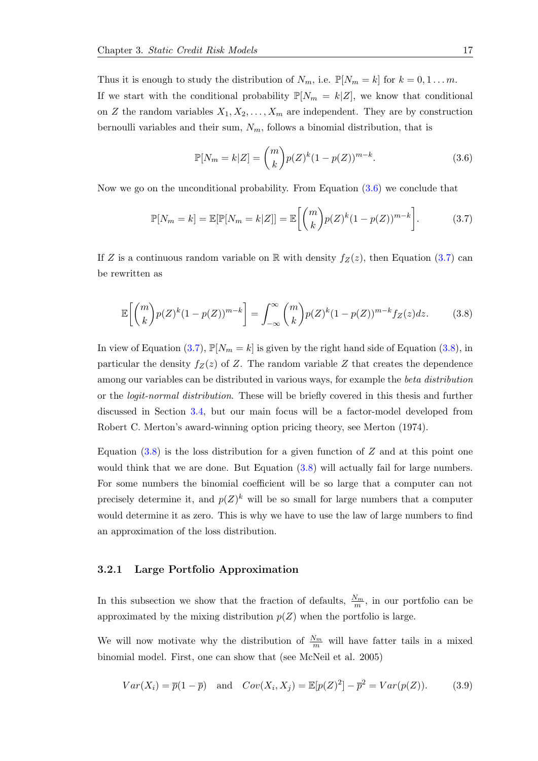Thus it is enough to study the distribution of  $N_m$ , i.e.  $\mathbb{P}[N_m = k]$  for  $k = 0, 1...m$ . If we start with the conditional probability  $\mathbb{P}[N_m = k|Z]$ , we know that conditional on Z the random variables  $X_1, X_2, \ldots, X_m$  are independent. They are by construction bernoulli variables and their sum,  $N_m$ , follows a binomial distribution, that is

<span id="page-24-1"></span>
$$
\mathbb{P}[N_m = k|Z] = \binom{m}{k} p(Z)^k (1 - p(Z))^{m-k}.
$$
\n(3.6)

Now we go on the unconditional probability. From Equation [\(3.6\)](#page-24-1) we conclude that

<span id="page-24-2"></span>
$$
\mathbb{P}[N_m = k] = \mathbb{E}[\mathbb{P}[N_m = k|Z]] = \mathbb{E}\left[\binom{m}{k}p(Z)^k(1-p(Z))^{m-k}\right].\tag{3.7}
$$

If Z is a continuous random variable on R with density  $f_Z(z)$ , then Equation [\(3.7\)](#page-24-2) can be rewritten as

<span id="page-24-3"></span>
$$
\mathbb{E}\left[\binom{m}{k}p(Z)^k(1-p(Z))^{m-k}\right] = \int_{-\infty}^{\infty}\binom{m}{k}p(Z)^k(1-p(Z))^{m-k}f_Z(z)dz.
$$
 (3.8)

In view of Equation [\(3.7\)](#page-24-2),  $\mathbb{P}[N_m = k]$  is given by the right hand side of Equation [\(3.8\)](#page-24-3), in particular the density  $f_Z(z)$  of Z. The random variable Z that creates the dependence among our variables can be distributed in various ways, for example the *beta distribution* or the logit-normal distribution. These will be briefly covered in this thesis and further discussed in Section [3.4,](#page-27-0) but our main focus will be a factor-model developed from Robert C. Merton's award-winning option pricing theory, see Merton (1974).

Equation  $(3.8)$  is the loss distribution for a given function of Z and at this point one would think that we are done. But Equation [\(3.8\)](#page-24-3) will actually fail for large numbers. For some numbers the binomial coefficient will be so large that a computer can not precisely determine it, and  $p(Z)^k$  will be so small for large numbers that a computer would determine it as zero. This is why we have to use the law of large numbers to find an approximation of the loss distribution.

#### <span id="page-24-0"></span>3.2.1 Large Portfolio Approximation

In this subsection we show that the fraction of defaults,  $\frac{N_m}{m}$ , in our portfolio can be approximated by the mixing distribution  $p(Z)$  when the portfolio is large.

We will now motivate why the distribution of  $\frac{N_m}{m}$  will have fatter tails in a mixed binomial model. First, one can show that (see McNeil et al. 2005)

<span id="page-24-4"></span>
$$
Var(X_i) = \overline{p}(1 - \overline{p}) \quad \text{and} \quad Cov(X_i, X_j) = \mathbb{E}[p(Z)^2] - \overline{p}^2 = Var(p(Z)). \tag{3.9}
$$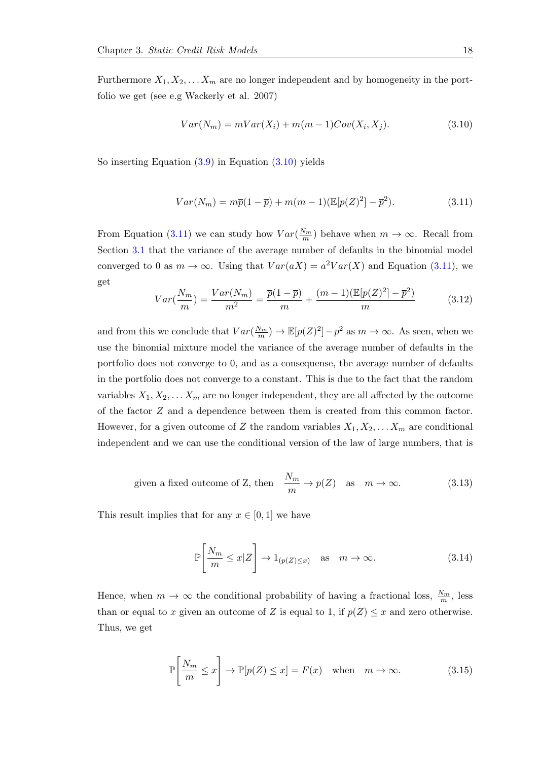Furthermore  $X_1, X_2, \ldots X_m$  are no longer independent and by homogeneity in the portfolio we get (see e.g Wackerly et al. 2007)

<span id="page-25-0"></span>
$$
Var(N_m) = mVar(X_i) + m(m-1)Cov(X_i, X_j). \tag{3.10}
$$

So inserting Equation [\(3.9\)](#page-24-4) in Equation [\(3.10\)](#page-25-0) yields

<span id="page-25-1"></span>
$$
Var(N_m) = m\overline{p}(1-\overline{p}) + m(m-1)(\mathbb{E}[p(Z)^2] - \overline{p}^2).
$$
 (3.11)

From Equation [\(3.11\)](#page-25-1) we can study how  $Var(\frac{N_m}{m})$  behave when  $m \to \infty$ . Recall from Section [3.1](#page-19-1) that the variance of the average number of defaults in the binomial model converged to 0 as  $m \to \infty$ . Using that  $Var(aX) = a^2Var(X)$  and Equation [\(3.11\)](#page-25-1), we get

$$
Var(\frac{N_m}{m}) = \frac{Var(N_m)}{m^2} = \frac{\overline{p}(1-\overline{p})}{m} + \frac{(m-1)(\mathbb{E}[p(Z)^2] - \overline{p}^2)}{m}
$$
(3.12)

and from this we conclude that  $Var(\frac{N_m}{m}) \to \mathbb{E}[p(Z)^2] - \bar{p}^2$  as  $m \to \infty$ . As seen, when we use the binomial mixture model the variance of the average number of defaults in the portfolio does not converge to 0, and as a consequense, the average number of defaults in the portfolio does not converge to a constant. This is due to the fact that the random variables  $X_1, X_2, \ldots X_m$  are no longer independent, they are all affected by the outcome of the factor Z and a dependence between them is created from this common factor. However, for a given outcome of Z the random variables  $X_1, X_2, \ldots X_m$  are conditional independent and we can use the conditional version of the law of large numbers, that is

given a fixed outcome of Z, then 
$$
\frac{N_m}{m} \to p(Z)
$$
 as  $m \to \infty$ . (3.13)

This result implies that for any  $x \in [0,1]$  we have

$$
\mathbb{P}\left[\frac{N_m}{m} \le x|Z\right] \to 1_{(p(Z)\le x)} \quad \text{as} \quad m \to \infty. \tag{3.14}
$$

Hence, when  $m \to \infty$  the conditional probability of having a fractional loss,  $\frac{N_m}{m}$ , less than or equal to x given an outcome of Z is equal to 1, if  $p(Z) \leq x$  and zero otherwise. Thus, we get

<span id="page-25-2"></span>
$$
\mathbb{P}\left[\frac{N_m}{m} \le x\right] \to \mathbb{P}[p(Z) \le x] = F(x) \quad \text{when} \quad m \to \infty. \tag{3.15}
$$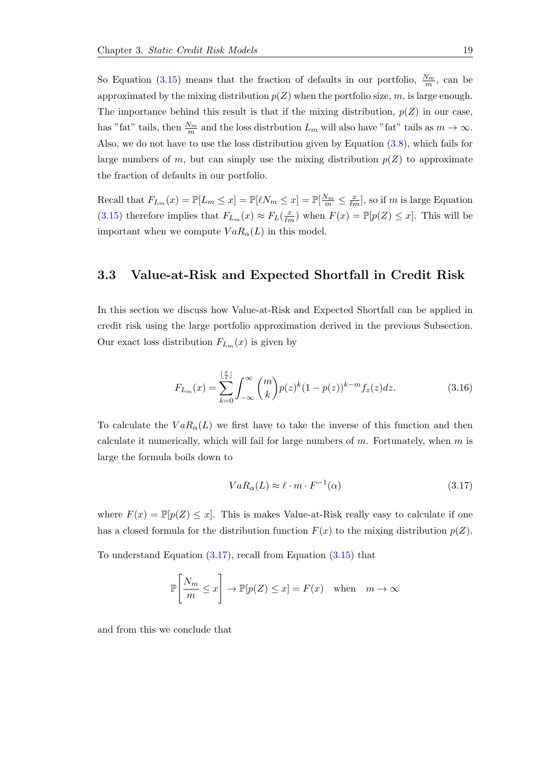So Equation [\(3.15\)](#page-25-2) means that the fraction of defaults in our portfolio,  $\frac{N_m}{m}$ , can be approximated by the mixing distribution  $p(Z)$  when the portfolio size, m, is large enough. The importance behind this result is that if the mixing distribution,  $p(Z)$  in our case, has "fat" tails, then  $\frac{N_m}{m}$  and the loss distrbution  $L_m$  will also have "fat" tails as  $m \to \infty$ . Also, we do not have to use the loss distribution given by Equation [\(3.8\)](#page-24-3), which fails for large numbers of m, but can simply use the mixing distribution  $p(Z)$  to approximate the fraction of defaults in our portfolio.

Recall that  $F_{L_m}(x) = \mathbb{P}[L_m \le x] = \mathbb{P}[\ell N_m \le x] = \mathbb{P}[\frac{N_m}{m} \le \frac{x}{\ell m}]$ , so if m is large Equation [\(3.15\)](#page-25-2) therefore implies that  $F_{L_m}(x) \approx F_L(\frac{x}{\ell m})$  when  $F(x) = \mathbb{P}[p(Z) \leq x]$ . This will be important when we compute  $VaR_{\alpha}(L)$  in this model.

### <span id="page-26-0"></span>3.3 Value-at-Risk and Expected Shortfall in Credit Risk

In this section we discuss how Value-at-Risk and Expected Shortfall can be applied in credit risk using the large portfolio approximation derived in the previous Subsection. Our exact loss distribution  $F_{L_m}(x)$  is given by

$$
F_{L_m}(x) = \sum_{k=0}^{\lfloor \frac{x}{\ell} \rfloor} \int_{-\infty}^{\infty} {m \choose k} p(z)^k (1 - p(z))^{k - m} f_z(z) dz.
$$
 (3.16)

To calculate the  $VaR_{\alpha}(L)$  we first have to take the inverse of this function and then calculate it numerically, which will fail for large numbers of  $m$ . Fortunately, when  $m$  is large the formula boils down to

<span id="page-26-1"></span>
$$
VaR_{\alpha}(L) \approx \ell \cdot m \cdot F^{-1}(\alpha) \tag{3.17}
$$

where  $F(x) = \mathbb{P}[p(Z) \leq x]$ . This is makes Value-at-Risk really easy to calculate if one has a closed formula for the distribution function  $F(x)$  to the mixing distribution  $p(Z)$ .

To understand Equation [\(3.17\)](#page-26-1), recall from Equation [\(3.15\)](#page-25-2) that

$$
\mathbb{P}\left[\frac{N_m}{m} \le x\right] \to \mathbb{P}[p(Z) \le x] = F(x) \text{ when } m \to \infty
$$

and from this we conclude that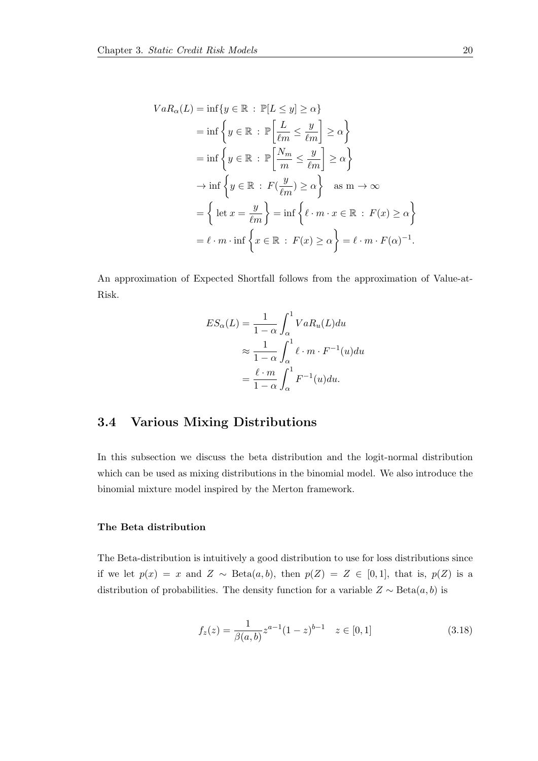$$
VaR_{\alpha}(L) = \inf \{ y \in \mathbb{R} : \mathbb{P}[L \le y] \ge \alpha \}
$$
  
\n
$$
= \inf \left\{ y \in \mathbb{R} : \mathbb{P}\left[\frac{L}{\ell m} \le \frac{y}{\ell m}\right] \ge \alpha \right\}
$$
  
\n
$$
= \inf \left\{ y \in \mathbb{R} : \mathbb{P}\left[\frac{N_m}{m} \le \frac{y}{\ell m}\right] \ge \alpha \right\}
$$
  
\n
$$
\to \inf \left\{ y \in \mathbb{R} : F(\frac{y}{\ell m}) \ge \alpha \right\} \text{ as } m \to \infty
$$
  
\n
$$
= \left\{ \text{let } x = \frac{y}{\ell m} \right\} = \inf \left\{ \ell \cdot m \cdot x \in \mathbb{R} : F(x) \ge \alpha \right\}
$$
  
\n
$$
= \ell \cdot m \cdot \inf \left\{ x \in \mathbb{R} : F(x) \ge \alpha \right\} = \ell \cdot m \cdot F(\alpha)^{-1}.
$$

An approximation of Expected Shortfall follows from the approximation of Value-at-Risk.

$$
ES_{\alpha}(L) = \frac{1}{1 - \alpha} \int_{\alpha}^{1} VaR_{u}(L)du
$$
  
\n
$$
\approx \frac{1}{1 - \alpha} \int_{\alpha}^{1} \ell \cdot m \cdot F^{-1}(u)du
$$
  
\n
$$
= \frac{\ell \cdot m}{1 - \alpha} \int_{\alpha}^{1} F^{-1}(u)du.
$$

## <span id="page-27-0"></span>3.4 Various Mixing Distributions

In this subsection we discuss the beta distribution and the logit-normal distribution which can be used as mixing distributions in the binomial model. We also introduce the binomial mixture model inspired by the Merton framework.

#### The Beta distribution

The Beta-distribution is intuitively a good distribution to use for loss distributions since if we let  $p(x) = x$  and  $Z \sim \text{Beta}(a, b)$ , then  $p(Z) = Z \in [0, 1]$ , that is,  $p(Z)$  is a distribution of probabilities. The density function for a variable  $Z \sim \text{Beta}(a, b)$  is

$$
f_z(z) = \frac{1}{\beta(a,b)} z^{a-1} (1-z)^{b-1} \quad z \in [0,1]
$$
\n(3.18)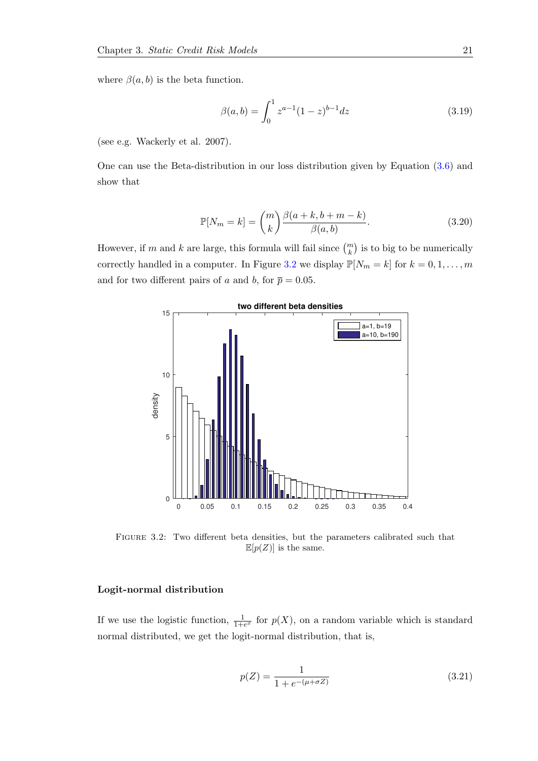where  $\beta(a, b)$  is the beta function.

$$
\beta(a,b) = \int_0^1 z^{a-1} (1-z)^{b-1} dz
$$
\n(3.19)

(see e.g. Wackerly et al. 2007).

One can use the Beta-distribution in our loss distribution given by Equation [\(3.6\)](#page-24-1) and show that

$$
\mathbb{P}[N_m = k] = \binom{m}{k} \frac{\beta(a+k, b+m-k)}{\beta(a, b)}.
$$
\n(3.20)

However, if m and k are large, this formula will fail since  $\binom{m}{k}$  is to big to be numerically correctly handled in a computer. In Figure [3.2](#page-28-0) we display  $\mathbb{P}[N_m = k]$  for  $k = 0, 1, ..., m$ and for two different pairs of a and b, for  $\bar{p} = 0.05$ .

<span id="page-28-0"></span>

Figure 3.2: Two different beta densities, but the parameters calibrated such that  $\mathbb{E}[p(Z)]$  is the same.

#### Logit-normal distribution

If we use the logistic function,  $\frac{1}{1+e^x}$  for  $p(X)$ , on a random variable which is standard normal distributed, we get the logit-normal distribution, that is,

$$
p(Z) = \frac{1}{1 + e^{-(\mu + \sigma Z)}}\tag{3.21}
$$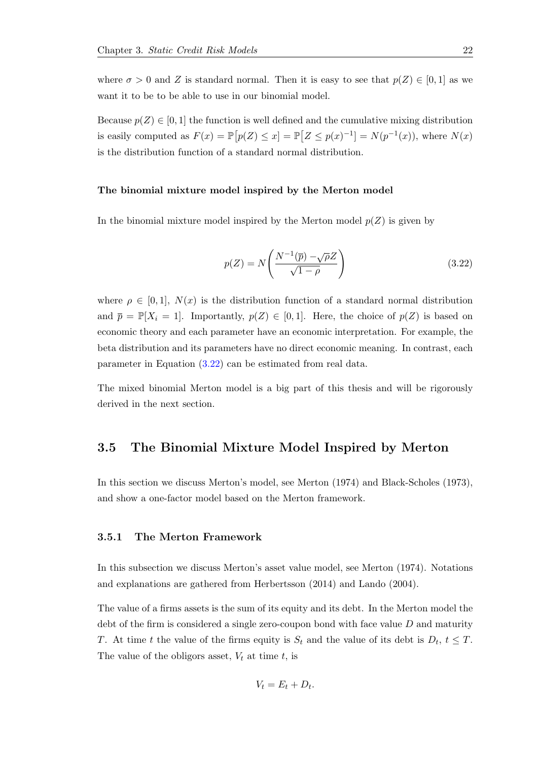where  $\sigma > 0$  and Z is standard normal. Then it is easy to see that  $p(Z) \in [0,1]$  as we want it to be to be able to use in our binomial model.

Because  $p(Z) \in [0, 1]$  the function is well defined and the cumulative mixing distribution is easily computed as  $F(x) = \mathbb{P}[p(Z) \leq x] = \mathbb{P}[Z \leq p(x)^{-1}] = N(p^{-1}(x))$ , where  $N(x)$ is the distribution function of a standard normal distribution.

#### The binomial mixture model inspired by the Merton model

In the binomial mixture model inspired by the Merton model  $p(Z)$  is given by

<span id="page-29-2"></span>
$$
p(Z) = N\left(\frac{N^{-1}(\overline{p}) - \sqrt{\rho}Z}{\sqrt{1-\rho}}\right)
$$
\n(3.22)

where  $\rho \in [0,1], N(x)$  is the distribution function of a standard normal distribution and  $\overline{p} = \mathbb{P}[X_i = 1]$ . Importantly,  $p(Z) \in [0,1]$ . Here, the choice of  $p(Z)$  is based on economic theory and each parameter have an economic interpretation. For example, the beta distribution and its parameters have no direct economic meaning. In contrast, each parameter in Equation [\(3.22\)](#page-29-2) can be estimated from real data.

The mixed binomial Merton model is a big part of this thesis and will be rigorously derived in the next section.

### <span id="page-29-0"></span>3.5 The Binomial Mixture Model Inspired by Merton

In this section we discuss Merton's model, see Merton (1974) and Black-Scholes (1973), and show a one-factor model based on the Merton framework.

#### <span id="page-29-1"></span>3.5.1 The Merton Framework

In this subsection we discuss Merton's asset value model, see Merton (1974). Notations and explanations are gathered from Herbertsson (2014) and Lando (2004).

The value of a firms assets is the sum of its equity and its debt. In the Merton model the debt of the firm is considered a single zero-coupon bond with face value  $D$  and maturity T. At time t the value of the firms equity is  $S_t$  and the value of its debt is  $D_t$ ,  $t \leq T$ . The value of the obligors asset,  $V_t$  at time t, is

$$
V_t = E_t + D_t.
$$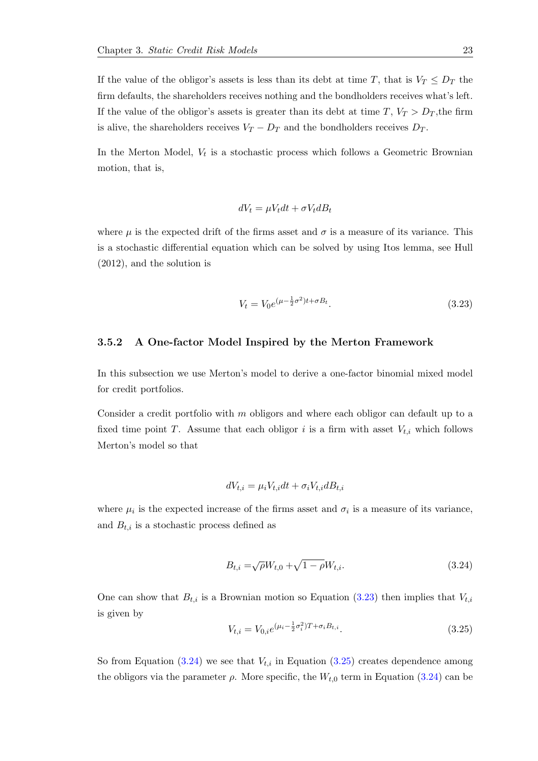If the value of the obligor's assets is less than its debt at time T, that is  $V_T \leq D_T$  the firm defaults, the shareholders receives nothing and the bondholders receives what's left. If the value of the obligor's assets is greater than its debt at time T,  $V_T > D_T$ , the firm is alive, the shareholders receives  $V_T - D_T$  and the bondholders receives  $D_T$ .

In the Merton Model,  $V_t$  is a stochastic process which follows a Geometric Brownian motion, that is,

$$
dV_t = \mu V_t dt + \sigma V_t dB_t
$$

where  $\mu$  is the expected drift of the firms asset and  $\sigma$  is a measure of its variance. This is a stochastic differential equation which can be solved by using Itos lemma, see Hull (2012), and the solution is

<span id="page-30-1"></span>
$$
V_t = V_0 e^{(\mu - \frac{1}{2}\sigma^2)t + \sigma B_t}.
$$
\n(3.23)

#### <span id="page-30-0"></span>3.5.2 A One-factor Model Inspired by the Merton Framework

In this subsection we use Merton's model to derive a one-factor binomial mixed model for credit portfolios.

Consider a credit portfolio with  $m$  obligors and where each obligor can default up to a fixed time point T. Assume that each obligor i is a firm with asset  $V_{t,i}$  which follows Merton's model so that

$$
dV_{t,i} = \mu_i V_{t,i} dt + \sigma_i V_{t,i} dB_{t,i}
$$

where  $\mu_i$  is the expected increase of the firms asset and  $\sigma_i$  is a measure of its variance, and  $B_{t,i}$  is a stochastic process defined as

<span id="page-30-2"></span>
$$
B_{t,i} = \sqrt{\rho} W_{t,0} + \sqrt{1 - \rho} W_{t,i}.
$$
\n(3.24)

One can show that  $B_{t,i}$  is a Brownian motion so Equation [\(3.23\)](#page-30-1) then implies that  $V_{t,i}$ is given by

<span id="page-30-3"></span>
$$
V_{t,i} = V_{0,i}e^{(\mu_i - \frac{1}{2}\sigma_i^2)T + \sigma_i B_{t,i}}.
$$
\n(3.25)

So from Equation [\(3.24\)](#page-30-2) we see that  $V_{t,i}$  in Equation [\(3.25\)](#page-30-3) creates dependence among the obligors via the parameter  $\rho$ . More specific, the  $W_{t,0}$  term in Equation [\(3.24\)](#page-30-2) can be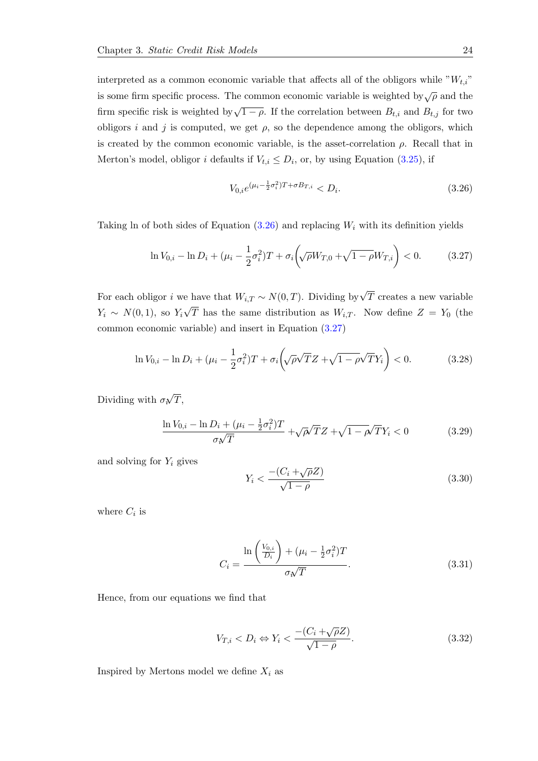interpreted as a common economic variable that affects all of the obligors while " $W_{t,i}$ " is some firm specific process. The common economic variable is weighted by $\sqrt{\rho}$  and the firm specific risk is weighted by  $\sqrt{1-\rho}$ . If the correlation between  $B_{t,i}$  and  $B_{t,j}$  for two obligors i and j is computed, we get  $\rho$ , so the dependence among the obligors, which is created by the common economic variable, is the asset-correlation  $\rho$ . Recall that in Merton's model, obligor *i* defaults if  $V_{t,i} \leq D_i$ , or, by using Equation [\(3.25\)](#page-30-3), if

<span id="page-31-0"></span>
$$
V_{0,i}e^{(\mu_i - \frac{1}{2}\sigma_i^2)T + \sigma B_{T,i}} < D_i. \tag{3.26}
$$

Taking ln of both sides of Equation  $(3.26)$  and replacing  $W_i$  with its definition yields

<span id="page-31-1"></span>
$$
\ln V_{0,i} - \ln D_i + (\mu_i - \frac{1}{2}\sigma_i^2)T + \sigma_i \left(\sqrt{\rho}W_{T,0} + \sqrt{1 - \rho}W_{T,i}\right) < 0. \tag{3.27}
$$

For each obligor i we have that  $W_{i,T} \sim N(0,T)$ . Dividing by  $\sqrt{T}$  creates a new variable  $Y_i \sim N(0,1)$ , so  $Y_i$ √ T has the same distribution as  $W_{i,T}$ . Now define  $Z = Y_0$  (the common economic variable) and insert in Equation [\(3.27\)](#page-31-1)

$$
\ln V_{0,i} - \ln D_i + (\mu_i - \frac{1}{2}\sigma_i^2)T + \sigma_i \left(\sqrt{\rho}\sqrt{T}Z + \sqrt{1 - \rho}\sqrt{T}Y_i\right) < 0. \tag{3.28}
$$

Dividing with  $\sigma_i$ √  $T,$ 

$$
\frac{\ln V_{0,i} - \ln D_i + (\mu_i - \frac{1}{2}\sigma_i^2)T}{\sigma \sqrt{T}} + \sqrt{\rho} \sqrt{T} Z + \sqrt{1 - \rho} \sqrt{T} Y_i < 0 \tag{3.29}
$$

and solving for  $Y_i$  gives

$$
Y_i < \frac{-(C_i + \sqrt{\rho}Z)}{\sqrt{1 - \rho}}\tag{3.30}
$$

where  $C_i$  is

<span id="page-31-3"></span>
$$
C_i = \frac{\ln\left(\frac{V_{0,i}}{D_i}\right) + (\mu_i - \frac{1}{2}\sigma_i^2)T}{\sigma \sqrt{T}}.
$$
\n(3.31)

Hence, from our equations we find that

<span id="page-31-2"></span>
$$
V_{T,i} < D_i \Leftrightarrow Y_i < \frac{-(C_i + \sqrt{\rho}Z)}{\sqrt{1 - \rho}}.\tag{3.32}
$$

Inspired by Mertons model we define  $X_i$  as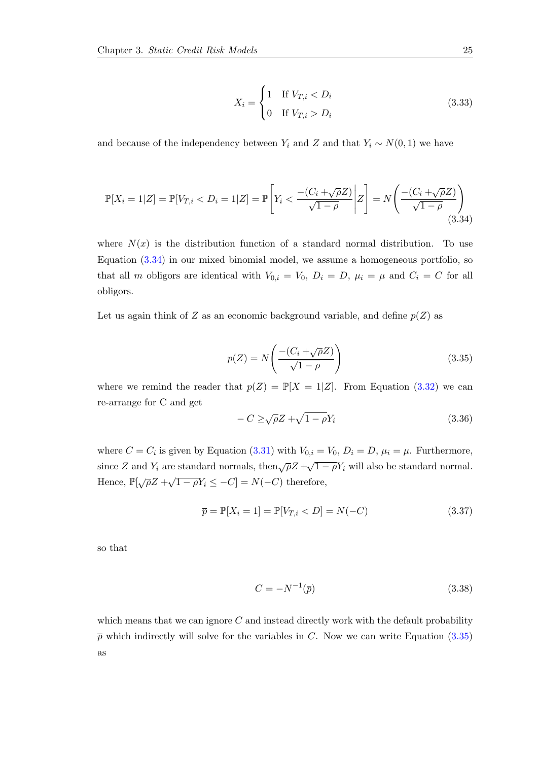$$
X_i = \begin{cases} 1 & \text{If } V_{T,i} < D_i \\ 0 & \text{If } V_{T,i} > D_i \end{cases} \tag{3.33}
$$

and because of the independency between  $Y_i$  and Z and that  $Y_i \sim N(0, 1)$  we have

<span id="page-32-0"></span>
$$
\mathbb{P}[X_i = 1|Z] = \mathbb{P}[V_{T,i} < D_i = 1|Z] = \mathbb{P}\left[Y_i < \frac{-(C_i + \sqrt{\rho}Z)}{\sqrt{1-\rho}} \middle| Z\right] = N\left(\frac{-(C_i + \sqrt{\rho}Z)}{\sqrt{1-\rho}}\right) \tag{3.34}
$$

where  $N(x)$  is the distribution function of a standard normal distribution. To use Equation [\(3.34\)](#page-32-0) in our mixed binomial model, we assume a homogeneous portfolio, so that all m obligors are identical with  $V_{0,i} = V_0$ ,  $D_i = D$ ,  $\mu_i = \mu$  and  $C_i = C$  for all obligors.

Let us again think of Z as an economic background variable, and define  $p(Z)$  as

<span id="page-32-1"></span>
$$
p(Z) = N\left(\frac{-(C_i + \sqrt{\rho}Z)}{\sqrt{1-\rho}}\right) \tag{3.35}
$$

where we remind the reader that  $p(Z) = \mathbb{P}[X = 1|Z]$ . From Equation [\(3.32\)](#page-31-2) we can re-arrange for C and get

$$
-C \ge \sqrt{\rho}Z + \sqrt{1 - \rho}Y_i \tag{3.36}
$$

where  $C = C_i$  is given by Equation [\(3.31\)](#page-31-3) with  $V_{0,i} = V_0$ ,  $D_i = D$ ,  $\mu_i = \mu$ . Furthermore, since Z and Y<sub>i</sub> are standard normals, then  $\sqrt{\rho}Z + \sqrt{1-\rho}Y_i$  will also be standard normal. Hence,  $\mathbb{P}[\sqrt{\rho}Z + \sqrt{1-\rho}Y_i \leq -C] = N(-C)$  therefore,

$$
\overline{p} = \mathbb{P}[X_i = 1] = \mathbb{P}[V_{T,i} < D] = N(-C) \tag{3.37}
$$

so that

$$
C = -N^{-1}(\overline{p})\tag{3.38}
$$

which means that we can ignore  $C$  and instead directly work with the default probability  $\bar{p}$  which indirectly will solve for the variables in C. Now we can write Equation [\(3.35\)](#page-32-1) as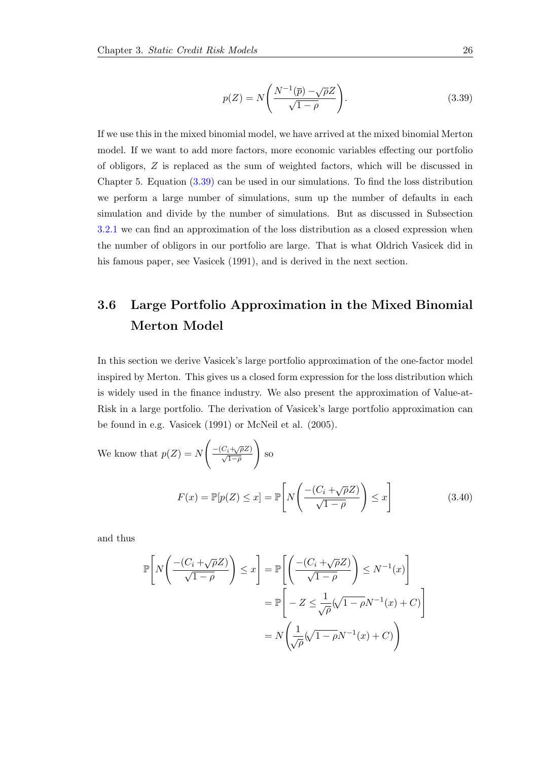<span id="page-33-1"></span>
$$
p(Z) = N\left(\frac{N^{-1}(\overline{p}) - \sqrt{\rho}Z}{\sqrt{1-\rho}}\right).
$$
\n(3.39)

If we use this in the mixed binomial model, we have arrived at the mixed binomial Merton model. If we want to add more factors, more economic variables effecting our portfolio of obligors, Z is replaced as the sum of weighted factors, which will be discussed in Chapter 5. Equation [\(3.39\)](#page-33-1) can be used in our simulations. To find the loss distribution we perform a large number of simulations, sum up the number of defaults in each simulation and divide by the number of simulations. But as discussed in Subsection [3.2.1](#page-24-0) we can find an approximation of the loss distribution as a closed expression when the number of obligors in our portfolio are large. That is what Oldrich Vasicek did in his famous paper, see Vasicek (1991), and is derived in the next section.

## <span id="page-33-0"></span>3.6 Large Portfolio Approximation in the Mixed Binomial Merton Model

In this section we derive Vasicek's large portfolio approximation of the one-factor model inspired by Merton. This gives us a closed form expression for the loss distribution which is widely used in the finance industry. We also present the approximation of Value-at-Risk in a large portfolio. The derivation of Vasicek's large portfolio approximation can be found in e.g. Vasicek (1991) or McNeil et al. (2005).

We know that 
$$
p(Z) = N\left(\frac{-(C_i + \sqrt{\rho}Z)}{\sqrt{1-\rho}}\right)
$$
 so  
\n
$$
F(x) = \mathbb{P}[p(Z) \le x] = \mathbb{P}\left[N\left(\frac{-(C_i + \sqrt{\rho}Z)}{\sqrt{1-\rho}}\right) \le x\right]
$$
\n(3.40)

and thus

$$
\mathbb{P}\left[N\left(\frac{-(C_i + \sqrt{\rho}Z)}{\sqrt{1-\rho}}\right) \leq x\right] = \mathbb{P}\left[\left(\frac{-(C_i + \sqrt{\rho}Z)}{\sqrt{1-\rho}}\right) \leq N^{-1}(x)\right]
$$

$$
= \mathbb{P}\left[-Z \leq \frac{1}{\sqrt{\rho}}(\sqrt{1-\rho}N^{-1}(x) + C)\right]
$$

$$
= N\left(\frac{1}{\sqrt{\rho}}(\sqrt{1-\rho}N^{-1}(x) + C)\right)
$$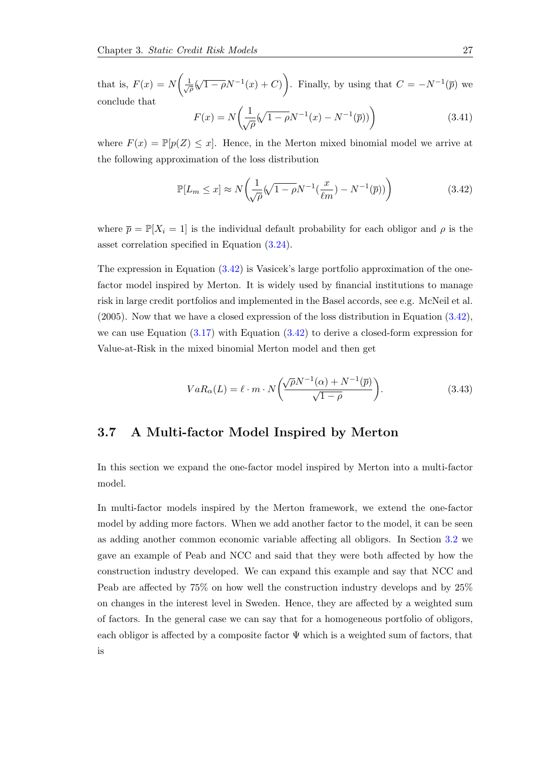that is,  $F(x) = N\left(\frac{1}{\sqrt{2}}\right)$  $\frac{1}{\rho}$ (  $(\sqrt{1-\rho}N^{-1}(x)+C)$ . Finally, by using that  $C=-N^{-1}(\bar{p})$  we conclude that

$$
F(x) = N\left(\frac{1}{\sqrt{\rho}}(\sqrt{1-\rho}N^{-1}(x) - N^{-1}(\overline{p}))\right)
$$
 (3.41)

where  $F(x) = \mathbb{P}[p(Z) \leq x]$ . Hence, in the Merton mixed binomial model we arrive at the following approximation of the loss distribution

<span id="page-34-1"></span>
$$
\mathbb{P}[L_m \le x] \approx N \left( \frac{1}{\sqrt{\rho}} (\sqrt{1 - \rho} N^{-1} (\frac{x}{\ell m}) - N^{-1} (\overline{p})) \right) \tag{3.42}
$$

where  $\bar{p} = \mathbb{P}[X_i = 1]$  is the individual default probability for each obligor and  $\rho$  is the asset correlation specified in Equation [\(3.24\)](#page-30-2).

The expression in Equation [\(3.42\)](#page-34-1) is Vasicek's large portfolio approximation of the onefactor model inspired by Merton. It is widely used by financial institutions to manage risk in large credit portfolios and implemented in the Basel accords, see e.g. McNeil et al. (2005). Now that we have a closed expression of the loss distribution in Equation [\(3.42\)](#page-34-1), we can use Equation  $(3.17)$  with Equation  $(3.42)$  to derive a closed-form expression for Value-at-Risk in the mixed binomial Merton model and then get

$$
VaR_{\alpha}(L) = \ell \cdot m \cdot N\left(\frac{\sqrt{\rho}N^{-1}(\alpha) + N^{-1}(\overline{p})}{\sqrt{1-\rho}}\right).
$$
\n(3.43)

### <span id="page-34-0"></span>3.7 A Multi-factor Model Inspired by Merton

In this section we expand the one-factor model inspired by Merton into a multi-factor model.

In multi-factor models inspired by the Merton framework, we extend the one-factor model by adding more factors. When we add another factor to the model, it can be seen as adding another common economic variable affecting all obligors. In Section [3.2](#page-22-0) we gave an example of Peab and NCC and said that they were both affected by how the construction industry developed. We can expand this example and say that NCC and Peab are affected by 75% on how well the construction industry develops and by 25% on changes in the interest level in Sweden. Hence, they are affected by a weighted sum of factors. In the general case we can say that for a homogeneous portfolio of obligors, each obligor is affected by a composite factor  $\Psi$  which is a weighted sum of factors, that is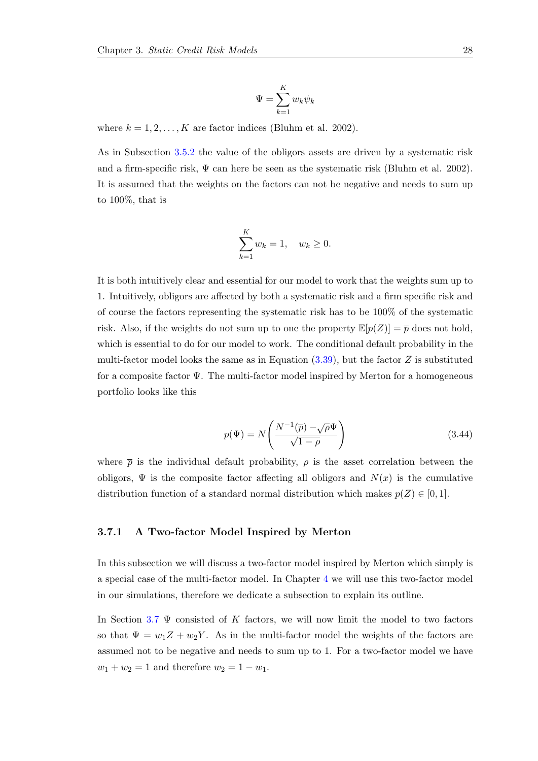$$
\Psi = \sum_{k=1}^K w_k \psi_k
$$

where  $k = 1, 2, \ldots, K$  are factor indices (Bluhm et al. 2002).

As in Subsection [3.5.2](#page-30-0) the value of the obligors assets are driven by a systematic risk and a firm-specific risk,  $\Psi$  can here be seen as the systematic risk (Bluhm et al. 2002). It is assumed that the weights on the factors can not be negative and needs to sum up to 100%, that is

$$
\sum_{k=1}^{K} w_k = 1, \quad w_k \ge 0.
$$

It is both intuitively clear and essential for our model to work that the weights sum up to 1. Intuitively, obligors are affected by both a systematic risk and a firm specific risk and of course the factors representing the systematic risk has to be 100% of the systematic risk. Also, if the weights do not sum up to one the property  $\mathbb{E}[p(Z)] = \overline{p}$  does not hold, which is essential to do for our model to work. The conditional default probability in the multi-factor model looks the same as in Equation  $(3.39)$ , but the factor Z is substituted for a composite factor  $\Psi$ . The multi-factor model inspired by Merton for a homogeneous portfolio looks like this

$$
p(\Psi) = N\left(\frac{N^{-1}(\overline{p}) - \sqrt{\rho}\Psi}{\sqrt{1-\rho}}\right)
$$
\n(3.44)

where  $\bar{p}$  is the individual default probability,  $\rho$  is the asset correlation between the obligors,  $\Psi$  is the composite factor affecting all obligors and  $N(x)$  is the cumulative distribution function of a standard normal distribution which makes  $p(Z) \in [0, 1]$ .

#### <span id="page-35-0"></span>3.7.1 A Two-factor Model Inspired by Merton

In this subsection we will discuss a two-factor model inspired by Merton which simply is a special case of the multi-factor model. In Chapter [4](#page-38-0) we will use this two-factor model in our simulations, therefore we dedicate a subsection to explain its outline.

In Section [3.7](#page-34-0)  $\Psi$  consisted of K factors, we will now limit the model to two factors so that  $\Psi = w_1 Z + w_2 Y$ . As in the multi-factor model the weights of the factors are assumed not to be negative and needs to sum up to 1. For a two-factor model we have  $w_1 + w_2 = 1$  and therefore  $w_2 = 1 - w_1$ .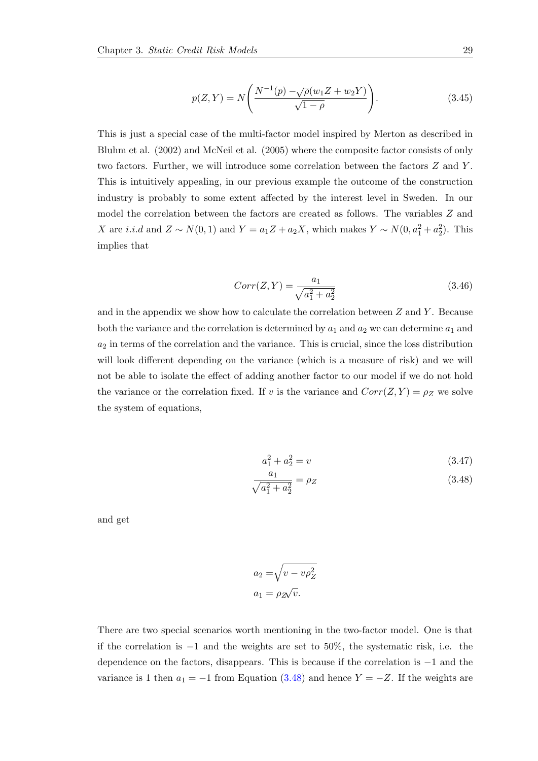$$
p(Z, Y) = N\left(\frac{N^{-1}(p) - \sqrt{\rho}(w_1 Z + w_2 Y)}{\sqrt{1 - \rho}}\right).
$$
 (3.45)

This is just a special case of the multi-factor model inspired by Merton as described in Bluhm et al. (2002) and McNeil et al. (2005) where the composite factor consists of only two factors. Further, we will introduce some correlation between the factors Z and Y . This is intuitively appealing, in our previous example the outcome of the construction industry is probably to some extent affected by the interest level in Sweden. In our model the correlation between the factors are created as follows. The variables Z and X are *i.i.d* and  $Z \sim N(0, 1)$  and  $Y = a_1 Z + a_2 X$ , which makes  $Y \sim N(0, a_1^2 + a_2^2)$ . This implies that

$$
Corr(Z, Y) = \frac{a_1}{\sqrt{a_1^2 + a_2^2}}
$$
\n(3.46)

and in the appendix we show how to calculate the correlation between  $Z$  and  $Y$ . Because both the variance and the correlation is determined by  $a_1$  and  $a_2$  we can determine  $a_1$  and  $a_2$  in terms of the correlation and the variance. This is crucial, since the loss distribution will look different depending on the variance (which is a measure of risk) and we will not be able to isolate the effect of adding another factor to our model if we do not hold the variance or the correlation fixed. If v is the variance and  $Corr(Z, Y) = \rho_Z$  we solve the system of equations,

<span id="page-36-0"></span>
$$
a_1^2 + a_2^2 = v \tag{3.47}
$$

$$
\frac{a_1}{\sqrt{a_1^2 + a_2^2}} = \rho_Z \tag{3.48}
$$

and get

$$
a_2 = \sqrt{v - v\rho_Z^2}
$$

$$
a_1 = \rho_Z \sqrt{v}.
$$

There are two special scenarios worth mentioning in the two-factor model. One is that if the correlation is  $-1$  and the weights are set to 50%, the systematic risk, i.e. the dependence on the factors, disappears. This is because if the correlation is −1 and the variance is 1 then  $a_1 = -1$  from Equation [\(3.48\)](#page-36-0) and hence  $Y = -Z$ . If the weights are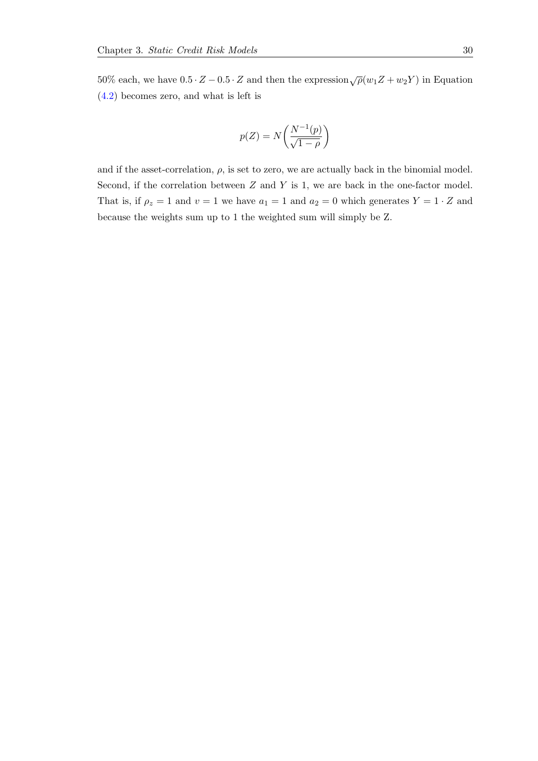50% each, we have  $0.5 \cdot Z - 0.5 \cdot Z$  and then the expression  $\sqrt{\rho}(w_1 Z + w_2 Y)$  in Equation [\(4.2\)](#page-45-1) becomes zero, and what is left is

$$
p(Z) = N\left(\frac{N^{-1}(p)}{\sqrt{1-\rho}}\right)
$$

and if the asset-correlation,  $\rho$ , is set to zero, we are actually back in the binomial model. Second, if the correlation between  $Z$  and  $Y$  is 1, we are back in the one-factor model. That is, if  $\rho_z = 1$  and  $v = 1$  we have  $a_1 = 1$  and  $a_2 = 0$  which generates  $Y = 1 \cdot Z$  and because the weights sum up to 1 the weighted sum will simply be Z.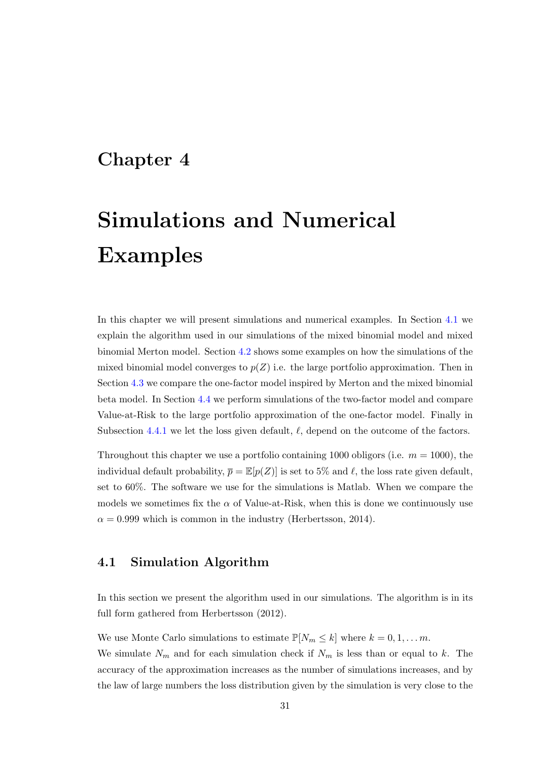## <span id="page-38-0"></span>Chapter 4

# Simulations and Numerical Examples

In this chapter we will present simulations and numerical examples. In Section [4.1](#page-38-1) we explain the algorithm used in our simulations of the mixed binomial model and mixed binomial Merton model. Section [4.2](#page-39-0) shows some examples on how the simulations of the mixed binomial model converges to  $p(Z)$  i.e. the large portfolio approximation. Then in Section [4.3](#page-43-0) we compare the one-factor model inspired by Merton and the mixed binomial beta model. In Section [4.4](#page-45-0) we perform simulations of the two-factor model and compare Value-at-Risk to the large portfolio approximation of the one-factor model. Finally in Subsection [4.4.1](#page-47-0) we let the loss given default,  $\ell$ , depend on the outcome of the factors.

Throughout this chapter we use a portfolio containing 1000 obligors (i.e.  $m = 1000$ ), the individual default probability,  $\bar{p} = \mathbb{E}[p(Z)]$  is set to 5% and  $\ell$ , the loss rate given default, set to 60%. The software we use for the simulations is Matlab. When we compare the models we sometimes fix the  $\alpha$  of Value-at-Risk, when this is done we continuously use  $\alpha = 0.999$  which is common in the industry (Herbertsson, 2014).

### <span id="page-38-1"></span>4.1 Simulation Algorithm

In this section we present the algorithm used in our simulations. The algorithm is in its full form gathered from Herbertsson (2012).

We use Monte Carlo simulations to estimate  $\mathbb{P}[N_m \leq k]$  where  $k = 0, 1, \ldots m$ .

We simulate  $N_m$  and for each simulation check if  $N_m$  is less than or equal to k. The accuracy of the approximation increases as the number of simulations increases, and by the law of large numbers the loss distribution given by the simulation is very close to the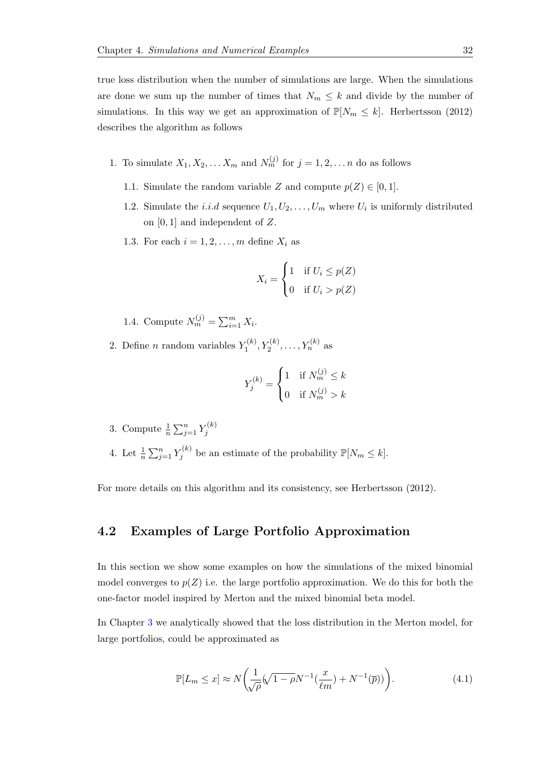true loss distribution when the number of simulations are large. When the simulations are done we sum up the number of times that  $N_m \leq k$  and divide by the number of simulations. In this way we get an approximation of  $\mathbb{P}[N_m \leq k]$ . Herbertsson (2012) describes the algorithm as follows

- 1. To simulate  $X_1, X_2, \ldots X_m$  and  $N_m^{(j)}$  for  $j = 1, 2, \ldots n$  do as follows
	- 1.1. Simulate the random variable Z and compute  $p(Z) \in [0,1]$ .
	- 1.2. Simulate the *i.i.d* sequence  $U_1, U_2, \ldots, U_m$  where  $U_i$  is uniformly distributed on [0, 1] and independent of Z.
	- 1.3. For each  $i = 1, 2, \ldots, m$  define  $X_i$  as

$$
X_i = \begin{cases} 1 & \text{if } U_i \le p(Z) \\ 0 & \text{if } U_i > p(Z) \end{cases}
$$

1.4. Compute  $N_m^{(j)} = \sum_{i=1}^m X_i$ .

2. Define *n* random variables  $Y_1^{(k)}$  $Y_1^{(k)}, Y_2^{(k)}, \ldots, Y_n^{(k)}$  as

$$
Y_j^{(k)} = \begin{cases} 1 & \text{if } N_m^{(j)} \le k \\ 0 & \text{if } N_m^{(j)} > k \end{cases}
$$

3. Compute  $\frac{1}{n} \sum_{j=1}^n Y_j^{(k)}$ j 4. Let  $\frac{1}{n} \sum_{j=1}^n Y_j^{(k)}$  $f_j^{(k)}$  be an estimate of the probability  $\mathbb{P}[N_m \leq k].$ 

For more details on this algorithm and its consistency, see Herbertsson (2012).

### <span id="page-39-0"></span>4.2 Examples of Large Portfolio Approximation

In this section we show some examples on how the simulations of the mixed binomial model converges to  $p(Z)$  i.e. the large portfolio approximation. We do this for both the one-factor model inspired by Merton and the mixed binomial beta model.

In Chapter [3](#page-19-0) we analytically showed that the loss distribution in the Merton model, for large portfolios, could be approximated as

$$
\mathbb{P}[L_m \le x] \approx N \left( \frac{1}{\sqrt{\rho}} (\sqrt{1 - \rho} N^{-1} (\frac{x}{\ell m}) + N^{-1} (\overline{p})) \right). \tag{4.1}
$$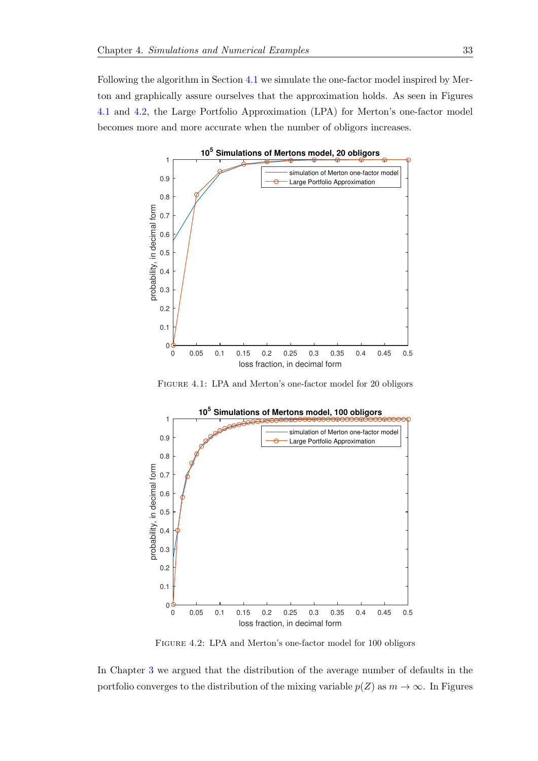Following the algorithm in Section [4.1](#page-38-1) we simulate the one-factor model inspired by Merton and graphically assure ourselves that the approximation holds. As seen in Figures [4.1](#page-40-0) and [4.2,](#page-40-1) the Large Portfolio Approximation (LPA) for Merton's one-factor model becomes more and more accurate when the number of obligors increases.

<span id="page-40-0"></span>

Figure 4.1: LPA and Merton's one-factor model for 20 obligors

<span id="page-40-1"></span>

Figure 4.2: LPA and Merton's one-factor model for 100 obligors

In Chapter [3](#page-19-0) we argued that the distribution of the average number of defaults in the portfolio converges to the distribution of the mixing variable  $p(Z)$  as  $m \to \infty$ . In Figures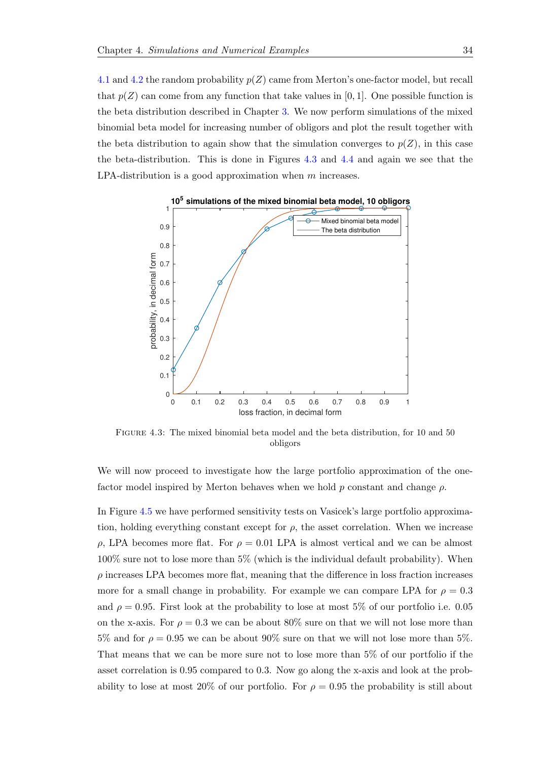[4.1](#page-40-0) and [4.2](#page-40-1) the random probability  $p(Z)$  came from Merton's one-factor model, but recall that  $p(Z)$  can come from any function that take values in [0, 1]. One possible function is the beta distribution described in Chapter [3.](#page-19-0) We now perform simulations of the mixed binomial beta model for increasing number of obligors and plot the result together with the beta distribution to again show that the simulation converges to  $p(Z)$ , in this case the beta-distribution. This is done in Figures [4.3](#page-41-0) and [4.4](#page-42-0) and again we see that the LPA-distribution is a good approximation when m increases.

<span id="page-41-0"></span>

Figure 4.3: The mixed binomial beta model and the beta distribution, for 10 and 50 obligors

We will now proceed to investigate how the large portfolio approximation of the onefactor model inspired by Merton behaves when we hold p constant and change  $\rho$ .

In Figure [4.5](#page-42-1) we have performed sensitivity tests on Vasicek's large portfolio approximation, holding everything constant except for  $\rho$ , the asset correlation. When we increase  $ρ$ , LPA becomes more flat. For  $ρ = 0.01$  LPA is almost vertical and we can be almost 100% sure not to lose more than 5% (which is the individual default probability). When  $\rho$  increases LPA becomes more flat, meaning that the difference in loss fraction increases more for a small change in probability. For example we can compare LPA for  $\rho = 0.3$ and  $\rho = 0.95$ . First look at the probability to lose at most 5% of our portfolio i.e. 0.05 on the x-axis. For  $\rho = 0.3$  we can be about 80% sure on that we will not lose more than 5% and for  $\rho = 0.95$  we can be about 90% sure on that we will not lose more than 5%. That means that we can be more sure not to lose more than 5% of our portfolio if the asset correlation is 0.95 compared to 0.3. Now go along the x-axis and look at the probability to lose at most 20% of our portfolio. For  $\rho = 0.95$  the probability is still about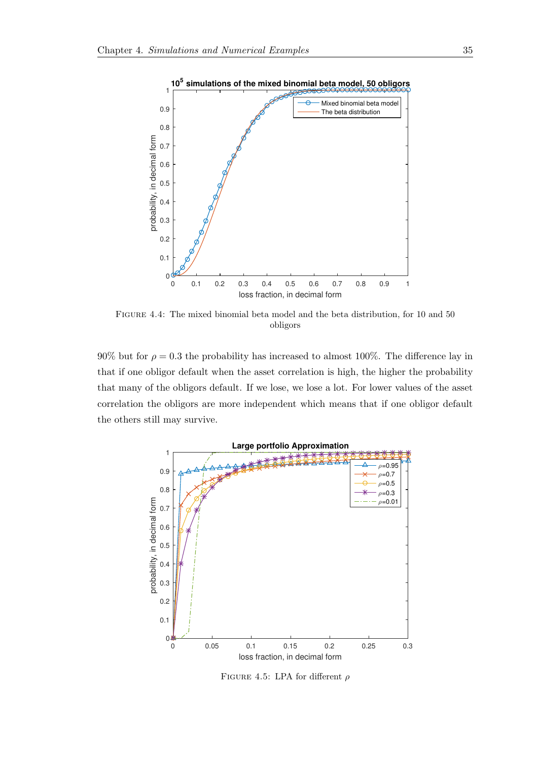<span id="page-42-0"></span>

Figure 4.4: The mixed binomial beta model and the beta distribution, for 10 and 50 obligors

90% but for  $\rho = 0.3$  the probability has increased to almost 100%. The difference lay in that if one obligor default when the asset correlation is high, the higher the probability that many of the obligors default. If we lose, we lose a lot. For lower values of the asset correlation the obligors are more independent which means that if one obligor default the others still may survive.

<span id="page-42-1"></span>

FIGURE 4.5: LPA for different  $\rho$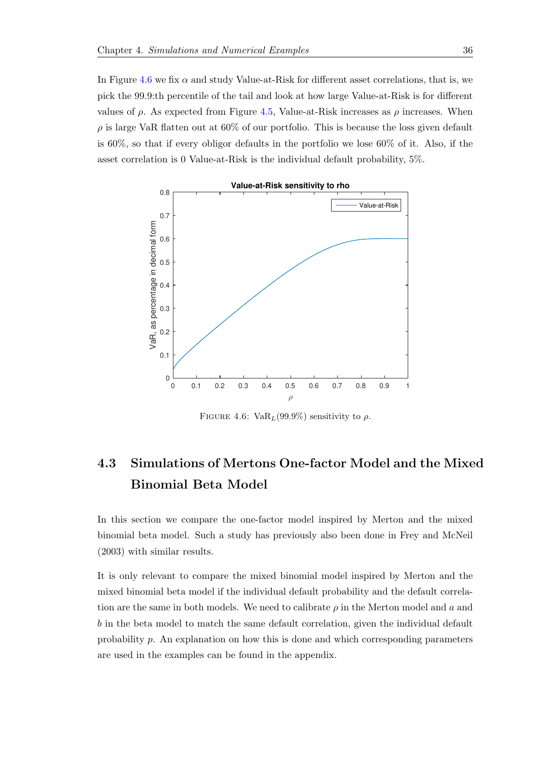In Figure [4.6](#page-43-1) we fix  $\alpha$  and study Value-at-Risk for different asset correlations, that is, we pick the 99.9:th percentile of the tail and look at how large Value-at-Risk is for different values of  $\rho$ . As expected from Figure [4.5,](#page-42-1) Value-at-Risk increases as  $\rho$  increases. When  $\rho$  is large VaR flatten out at 60% of our portfolio. This is because the loss given default is 60%, so that if every obligor defaults in the portfolio we lose 60% of it. Also, if the asset correlation is 0 Value-at-Risk is the individual default probability, 5%.

<span id="page-43-1"></span>

FIGURE 4.6:  $VaR_L(99.9\%)$  sensitivity to  $\rho$ .

## <span id="page-43-0"></span>4.3 Simulations of Mertons One-factor Model and the Mixed Binomial Beta Model

In this section we compare the one-factor model inspired by Merton and the mixed binomial beta model. Such a study has previously also been done in Frey and McNeil (2003) with similar results.

It is only relevant to compare the mixed binomial model inspired by Merton and the mixed binomial beta model if the individual default probability and the default correlation are the same in both models. We need to calibrate  $\rho$  in the Merton model and a and b in the beta model to match the same default correlation, given the individual default probability p. An explanation on how this is done and which corresponding parameters are used in the examples can be found in the appendix.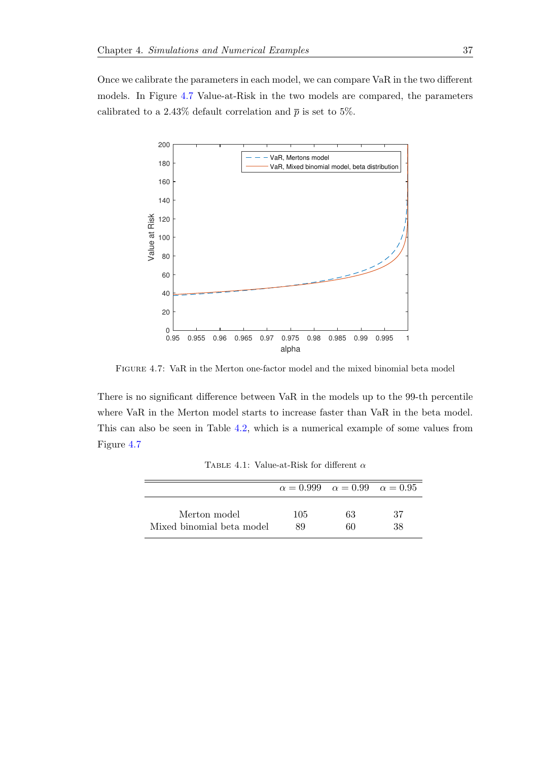Once we calibrate the parameters in each model, we can compare VaR in the two different models. In Figure [4.7](#page-44-0) Value-at-Risk in the two models are compared, the parameters calibrated to a 2.43% default correlation and  $\bar{p}$  is set to 5%.

<span id="page-44-0"></span>

Figure 4.7: VaR in the Merton one-factor model and the mixed binomial beta model

There is no significant difference between VaR in the models up to the 99-th percentile where VaR in the Merton model starts to increase faster than VaR in the beta model. This can also be seen in Table [4.2,](#page-47-1) which is a numerical example of some values from Figure [4.7](#page-44-0)

TABLE 4.1: Value-at-Risk for different  $\alpha$ 

<span id="page-44-1"></span>

|                                           | $\alpha = 0.999 \quad \alpha = 0.99 \quad \alpha = 0.95$ |          |          |
|-------------------------------------------|----------------------------------------------------------|----------|----------|
| Merton model<br>Mixed binomial beta model | 105<br>89                                                | 63<br>60 | 37<br>38 |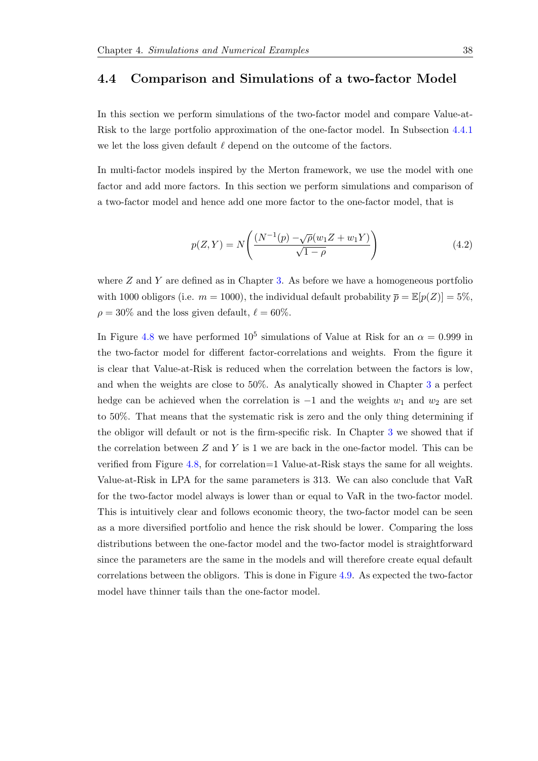### <span id="page-45-0"></span>4.4 Comparison and Simulations of a two-factor Model

In this section we perform simulations of the two-factor model and compare Value-at-Risk to the large portfolio approximation of the one-factor model. In Subsection [4.4.1](#page-47-0) we let the loss given default  $\ell$  depend on the outcome of the factors.

In multi-factor models inspired by the Merton framework, we use the model with one factor and add more factors. In this section we perform simulations and comparison of a two-factor model and hence add one more factor to the one-factor model, that is

<span id="page-45-1"></span>
$$
p(Z, Y) = N\left(\frac{(N^{-1}(p) - \sqrt{\rho}(w_1 Z + w_1 Y)}{\sqrt{1 - \rho}}\right)
$$
\n(4.2)

where  $Z$  and  $Y$  are defined as in Chapter [3.](#page-19-0) As before we have a homogeneous portfolio with 1000 obligors (i.e.  $m = 1000$ ), the individual default probability  $\bar{p} = \mathbb{E}[p(Z)] = 5\%$ ,  $\rho = 30\%$  and the loss given default,  $\ell = 60\%$ .

In Figure [4.8](#page-46-0) we have performed  $10^5$  simulations of Value at Risk for an  $\alpha = 0.999$  in the two-factor model for different factor-correlations and weights. From the figure it is clear that Value-at-Risk is reduced when the correlation between the factors is low, and when the weights are close to 50%. As analytically showed in Chapter [3](#page-19-0) a perfect hedge can be achieved when the correlation is  $-1$  and the weights  $w_1$  and  $w_2$  are set to 50%. That means that the systematic risk is zero and the only thing determining if the obligor will default or not is the firm-specific risk. In Chapter [3](#page-19-0) we showed that if the correlation between  $Z$  and  $Y$  is 1 we are back in the one-factor model. This can be verified from Figure [4.8,](#page-46-0) for correlation=1 Value-at-Risk stays the same for all weights. Value-at-Risk in LPA for the same parameters is 313. We can also conclude that VaR for the two-factor model always is lower than or equal to VaR in the two-factor model. This is intuitively clear and follows economic theory, the two-factor model can be seen as a more diversified portfolio and hence the risk should be lower. Comparing the loss distributions between the one-factor model and the two-factor model is straightforward since the parameters are the same in the models and will therefore create equal default correlations between the obligors. This is done in Figure [4.9.](#page-46-1) As expected the two-factor model have thinner tails than the one-factor model.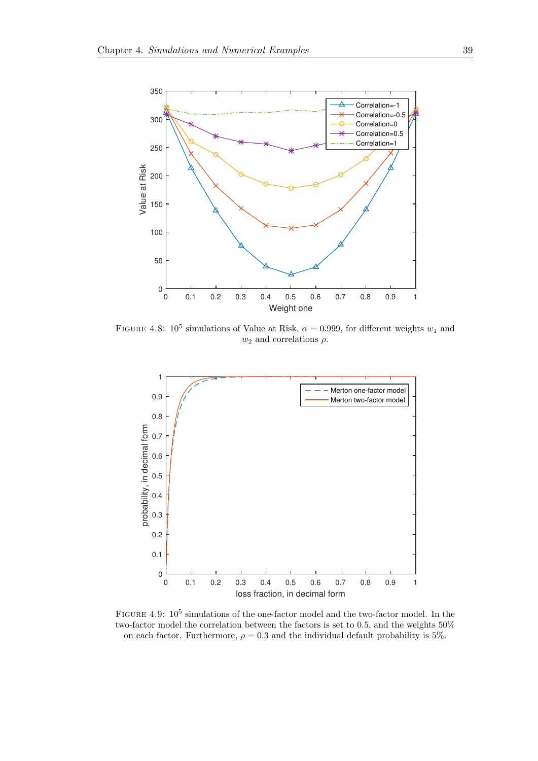<span id="page-46-0"></span>

FIGURE 4.8:  $10^5$  simulations of Value at Risk,  $\alpha = 0.999$ , for different weights  $w_1$  and  $w_2$  and correlations  $\rho$ .

<span id="page-46-1"></span>

FIGURE 4.9:  $10^5$  simulations of the one-factor model and the two-factor model. In the two-factor model the correlation between the factors is set to 0.5, and the weights 50% on each factor. Furthermore,  $\rho = 0.3$  and the individual default probability is 5%.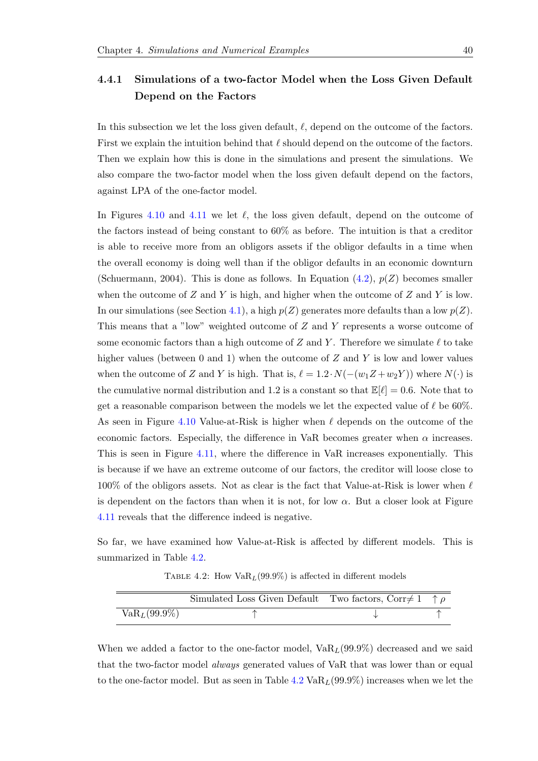### <span id="page-47-0"></span>4.4.1 Simulations of a two-factor Model when the Loss Given Default Depend on the Factors

In this subsection we let the loss given default,  $\ell$ , depend on the outcome of the factors. First we explain the intuition behind that  $\ell$  should depend on the outcome of the factors. Then we explain how this is done in the simulations and present the simulations. We also compare the two-factor model when the loss given default depend on the factors, against LPA of the one-factor model.

In Figures [4.10](#page-48-0) and [4.11](#page-48-1) we let  $\ell$ , the loss given default, depend on the outcome of the factors instead of being constant to 60% as before. The intuition is that a creditor is able to receive more from an obligors assets if the obligor defaults in a time when the overall economy is doing well than if the obligor defaults in an economic downturn (Schuermann, 2004). This is done as follows. In Equation  $(4.2)$ ,  $p(Z)$  becomes smaller when the outcome of  $Z$  and  $Y$  is high, and higher when the outcome of  $Z$  and  $Y$  is low. In our simulations (see Section [4.1\)](#page-38-1), a high  $p(Z)$  generates more defaults than a low  $p(Z)$ . This means that a "low" weighted outcome of Z and Y represents a worse outcome of some economic factors than a high outcome of Z and Y. Therefore we simulate  $\ell$  to take higher values (between 0 and 1) when the outcome of  $Z$  and  $Y$  is low and lower values when the outcome of Z and Y is high. That is,  $\ell = 1.2 \cdot N(-(w_1 Z + w_2 Y))$  where  $N(\cdot)$  is the cumulative normal distribution and 1.2 is a constant so that  $\mathbb{E}[\ell] = 0.6$ . Note that to get a reasonable comparison between the models we let the expected value of  $\ell$  be 60%. As seen in Figure [4.10](#page-48-0) Value-at-Risk is higher when  $\ell$  depends on the outcome of the economic factors. Especially, the difference in VaR becomes greater when  $\alpha$  increases. This is seen in Figure [4.11,](#page-48-1) where the difference in VaR increases exponentially. This is because if we have an extreme outcome of our factors, the creditor will loose close to  $100\%$  of the obligors assets. Not as clear is the fact that Value-at-Risk is lower when  $\ell$ is dependent on the factors than when it is not, for low  $\alpha$ . But a closer look at Figure [4.11](#page-48-1) reveals that the difference indeed is negative.

<span id="page-47-1"></span>So far, we have examined how Value-at-Risk is affected by different models. This is summarized in Table [4.2.](#page-47-1)

TABLE 4.2: How  $VaR_L(99.9\%)$  is affected in different models

|                 | Simulated Loss Given Default Two factors, Corr $\neq$ 1 $\uparrow$ $\rho$ |  |
|-----------------|---------------------------------------------------------------------------|--|
| $VaR_L(99.9\%)$ |                                                                           |  |

When we added a factor to the one-factor model,  $VaR_L(99.9\%)$  decreased and we said that the two-factor model always generated values of VaR that was lower than or equal to the one-factor model. But as seen in Table [4.2](#page-47-1)  $VaR_L(99.9\%)$  increases when we let the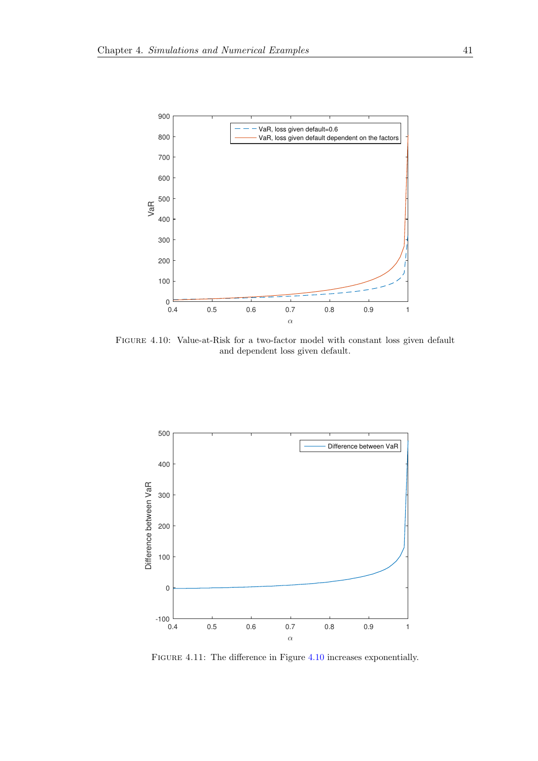<span id="page-48-0"></span>

Figure 4.10: Value-at-Risk for a two-factor model with constant loss given default and dependent loss given default.

<span id="page-48-1"></span>

Figure 4.11: The difference in Figure [4.10](#page-48-0) increases exponentially.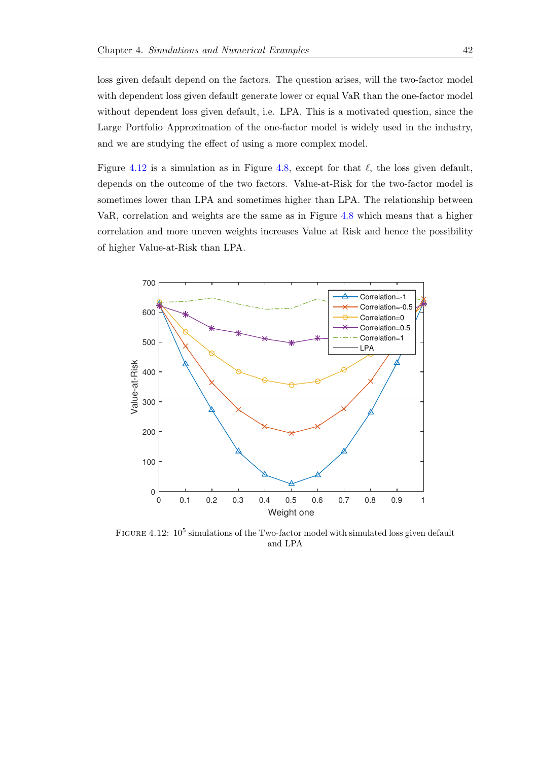loss given default depend on the factors. The question arises, will the two-factor model with dependent loss given default generate lower or equal VaR than the one-factor model without dependent loss given default, i.e. LPA. This is a motivated question, since the Large Portfolio Approximation of the one-factor model is widely used in the industry, and we are studying the effect of using a more complex model.

Figure [4.12](#page-49-0) is a simulation as in Figure [4.8,](#page-46-0) except for that  $\ell$ , the loss given default, depends on the outcome of the two factors. Value-at-Risk for the two-factor model is sometimes lower than LPA and sometimes higher than LPA. The relationship between VaR, correlation and weights are the same as in Figure [4.8](#page-46-0) which means that a higher correlation and more uneven weights increases Value at Risk and hence the possibility of higher Value-at-Risk than LPA.

<span id="page-49-0"></span>

FIGURE 4.12:  $10^5$  simulations of the Two-factor model with simulated loss given default and LPA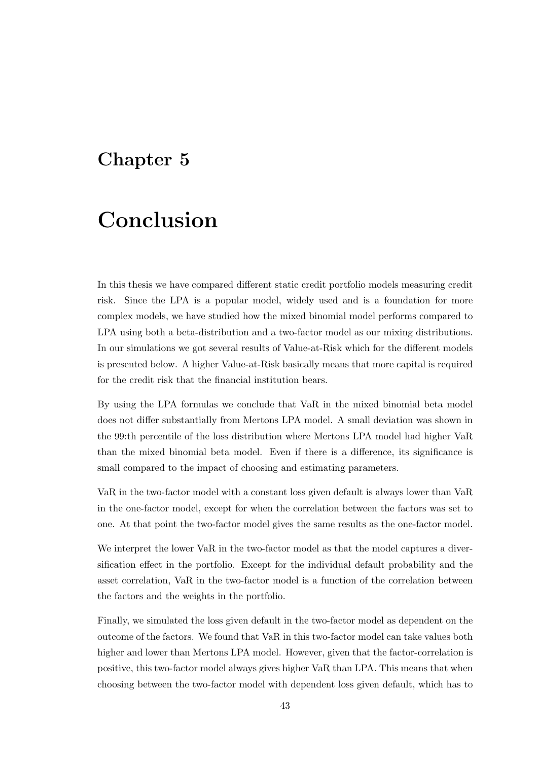## <span id="page-50-0"></span>Chapter 5

# Conclusion

In this thesis we have compared different static credit portfolio models measuring credit risk. Since the LPA is a popular model, widely used and is a foundation for more complex models, we have studied how the mixed binomial model performs compared to LPA using both a beta-distribution and a two-factor model as our mixing distributions. In our simulations we got several results of Value-at-Risk which for the different models is presented below. A higher Value-at-Risk basically means that more capital is required for the credit risk that the financial institution bears.

By using the LPA formulas we conclude that VaR in the mixed binomial beta model does not differ substantially from Mertons LPA model. A small deviation was shown in the 99:th percentile of the loss distribution where Mertons LPA model had higher VaR than the mixed binomial beta model. Even if there is a difference, its significance is small compared to the impact of choosing and estimating parameters.

VaR in the two-factor model with a constant loss given default is always lower than VaR in the one-factor model, except for when the correlation between the factors was set to one. At that point the two-factor model gives the same results as the one-factor model.

We interpret the lower VaR in the two-factor model as that the model captures a diversification effect in the portfolio. Except for the individual default probability and the asset correlation, VaR in the two-factor model is a function of the correlation between the factors and the weights in the portfolio.

Finally, we simulated the loss given default in the two-factor model as dependent on the outcome of the factors. We found that VaR in this two-factor model can take values both higher and lower than Mertons LPA model. However, given that the factor-correlation is positive, this two-factor model always gives higher VaR than LPA. This means that when choosing between the two-factor model with dependent loss given default, which has to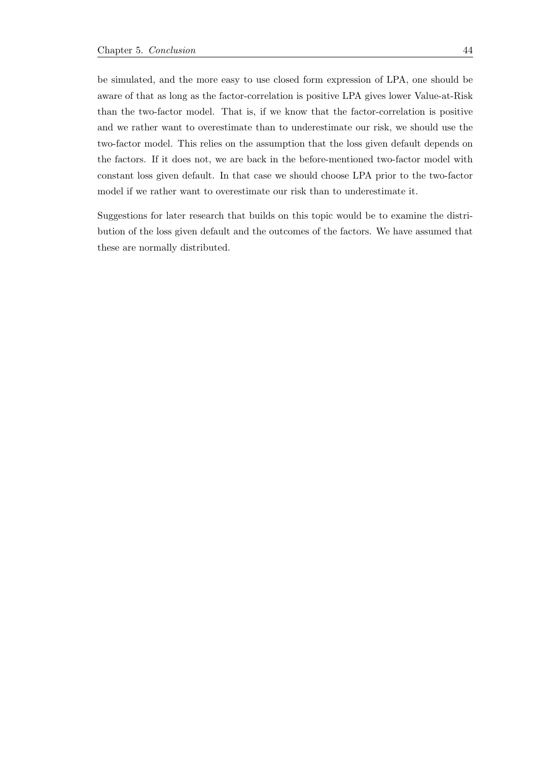be simulated, and the more easy to use closed form expression of LPA, one should be aware of that as long as the factor-correlation is positive LPA gives lower Value-at-Risk than the two-factor model. That is, if we know that the factor-correlation is positive and we rather want to overestimate than to underestimate our risk, we should use the two-factor model. This relies on the assumption that the loss given default depends on the factors. If it does not, we are back in the before-mentioned two-factor model with constant loss given default. In that case we should choose LPA prior to the two-factor model if we rather want to overestimate our risk than to underestimate it.

Suggestions for later research that builds on this topic would be to examine the distribution of the loss given default and the outcomes of the factors. We have assumed that these are normally distributed.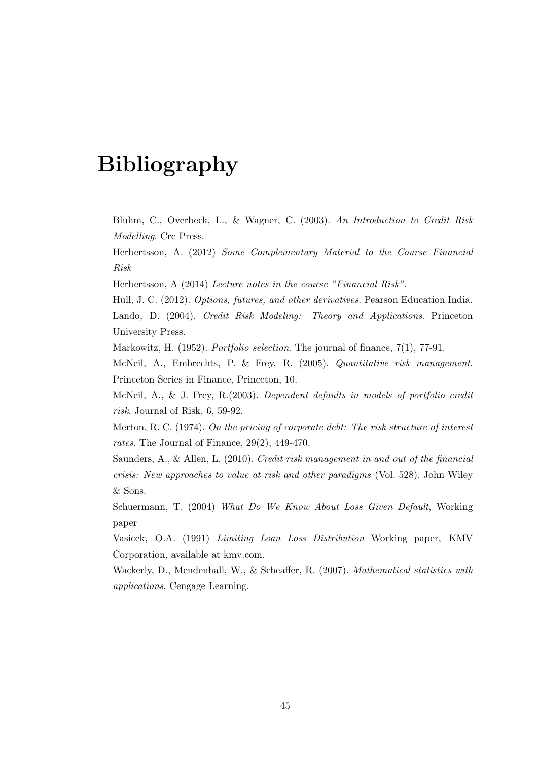## Bibliography

Bluhm, C., Overbeck, L., & Wagner, C. (2003). An Introduction to Credit Risk Modelling. Crc Press.

Herbertsson, A. (2012) Some Complementary Material to the Course Financial Risk

Herbertsson, A (2014) Lecture notes in the course "Financial Risk".

Hull, J. C. (2012). Options, futures, and other derivatives. Pearson Education India. Lando, D. (2004). Credit Risk Modeling: Theory and Applications. Princeton University Press.

Markowitz, H. (1952). *Portfolio selection*. The journal of finance, 7(1), 77-91.

McNeil, A., Embrechts, P. & Frey, R. (2005). Quantitative risk management. Princeton Series in Finance, Princeton, 10.

McNeil, A., & J. Frey, R. (2003). Dependent defaults in models of portfolio credit risk. Journal of Risk, 6, 59-92.

Merton, R. C. (1974). On the pricing of corporate debt: The risk structure of interest rates. The Journal of Finance, 29(2), 449-470.

Saunders, A., & Allen, L. (2010). Credit risk management in and out of the financial crisis: New approaches to value at risk and other paradigms (Vol. 528). John Wiley & Sons.

Schuermann, T. (2004) What Do We Know About Loss Given Default, Working paper

Vasicek, O.A. (1991) Limiting Loan Loss Distribution Working paper, KMV Corporation, available at kmv.com.

Wackerly, D., Mendenhall, W., & Scheaffer, R. (2007). *Mathematical statistics with* applications. Cengage Learning.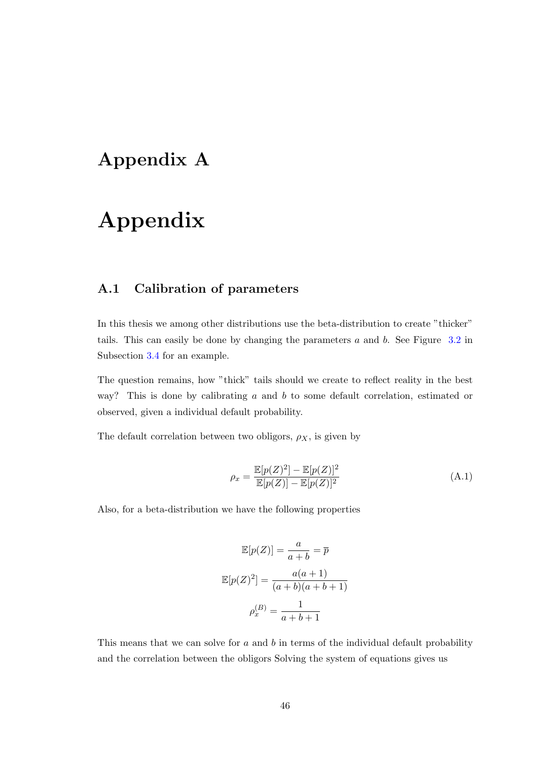## <span id="page-53-0"></span>Appendix A

# Appendix

## <span id="page-53-1"></span>A.1 Calibration of parameters

In this thesis we among other distributions use the beta-distribution to create "thicker" tails. This can easily be done by changing the parameters a and b. See Figure [3.2](#page-28-0) in Subsection [3.4](#page-27-0) for an example.

The question remains, how "thick" tails should we create to reflect reality in the best way? This is done by calibrating a and b to some default correlation, estimated or observed, given a individual default probability.

The default correlation between two obligors,  $\rho_X$ , is given by

$$
\rho_x = \frac{\mathbb{E}[p(Z)^2] - \mathbb{E}[p(Z)]^2}{\mathbb{E}[p(Z)] - \mathbb{E}[p(Z)]^2}
$$
\n(A.1)

Also, for a beta-distribution we have the following properties

$$
\mathbb{E}[p(Z)] = \frac{a}{a+b} = \overline{p}
$$

$$
\mathbb{E}[p(Z)^2] = \frac{a(a+1)}{(a+b)(a+b+1)}
$$

$$
\rho_x^{(B)} = \frac{1}{a+b+1}
$$

This means that we can solve for  $a$  and  $b$  in terms of the individual default probability and the correlation between the obligors Solving the system of equations gives us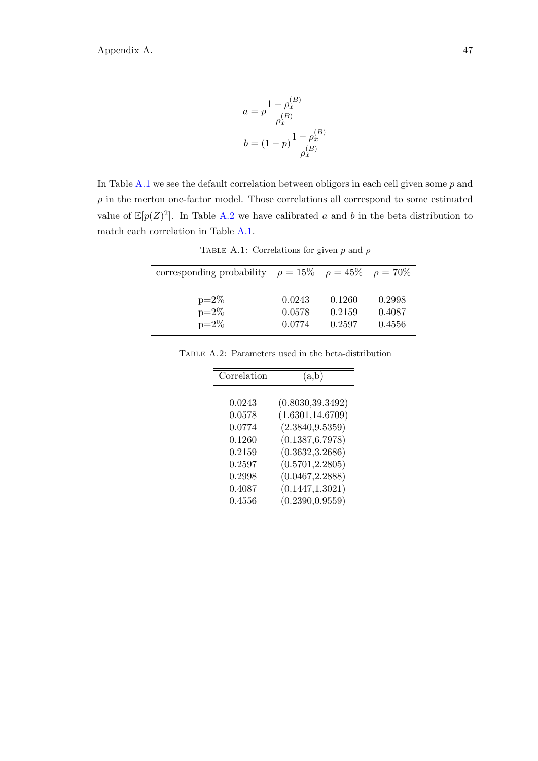$$
a = \overline{p} \frac{1 - \rho_x^{(B)}}{\rho_x^{(B)}}
$$

$$
b = (1 - \overline{p}) \frac{1 - \rho_x^{(B)}}{\rho_x^{(B)}}
$$

In Table  $A.1$  we see the default correlation between obligors in each cell given some  $p$  and  $\rho$  in the merton one-factor model. Those correlations all correspond to some estimated value of  $\mathbb{E}[p(Z)^2]$ . In Table [A.2](#page-54-1) we have calibrated a and b in the beta distribution to match each correlation in Table [A.1.](#page-54-0)

TABLE A.1: Correlations for given p and  $\rho$ 

<span id="page-54-0"></span>

| corresponding probability $\rho = 15\%$ $\rho = 45\%$ $\rho = 70\%$ |        |        |        |
|---------------------------------------------------------------------|--------|--------|--------|
| $p=2\%$                                                             | 0.0243 | 0.1260 | 0.2998 |
| $p=2\%$                                                             | 0.0578 | 0.2159 | 0.4087 |
| $p=2\%$                                                             | 0.0774 | 0.2597 | 0.4556 |

<span id="page-54-1"></span>Table A.2: Parameters used in the beta-distribution

| Correlation | (a,b)             |
|-------------|-------------------|
|             |                   |
| 0.0243      | (0.8030, 39.3492) |
| 0.0578      | (1.6301, 14.6709) |
| 0.0774      | (2.3840, 9.5359)  |
| 0.1260      | (0.1387, 6.7978)  |
| 0.2159      | (0.3632, 3.2686)  |
| 0.2597      | (0.5701, 2.2805)  |
| 0.2998      | (0.0467, 2.2888)  |
| 0.4087      | (0.1447, 1.3021)  |
| 0.4556      | (0.2390, 0.9559)  |
|             |                   |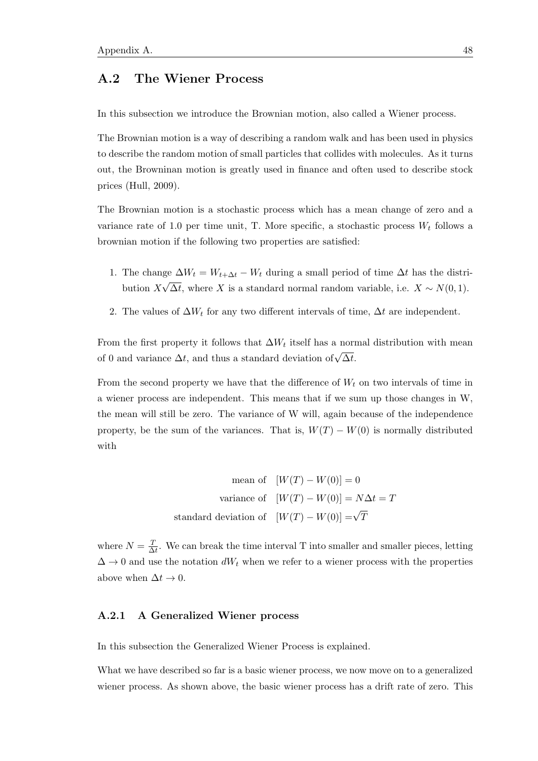### <span id="page-55-0"></span>A.2 The Wiener Process

In this subsection we introduce the Brownian motion, also called a Wiener process.

The Brownian motion is a way of describing a random walk and has been used in physics to describe the random motion of small particles that collides with molecules. As it turns out, the Browninan motion is greatly used in finance and often used to describe stock prices (Hull, 2009).

The Brownian motion is a stochastic process which has a mean change of zero and a variance rate of 1.0 per time unit, T. More specific, a stochastic process  $W_t$  follows a brownian motion if the following two properties are satisfied:

- 1. The change  $\Delta W_t = W_{t+\Delta t} W_t$  during a small period of time  $\Delta t$  has the distribution X ິ⊃<br>່  $\Delta t$ , where X is a standard normal random variable, i.e.  $X \sim N(0, 1)$ .
- 2. The values of  $\Delta W_t$  for any two different intervals of time,  $\Delta t$  are independent.

From the first property it follows that  $\Delta W_t$  itself has a normal distribution with mean of 0 and variance  $\Delta t$ , and thus a standard deviation of  $\sqrt{\Delta t}$ .

From the second property we have that the difference of  $W_t$  on two intervals of time in a wiener process are independent. This means that if we sum up those changes in W, the mean will still be zero. The variance of W will, again because of the independence property, be the sum of the variances. That is,  $W(T) - W(0)$  is normally distributed with

mean of 
$$
[W(T) - W(0)] = 0
$$
  
variance of  $[W(T) - W(0)] = N\Delta t = T$   
standard deviation of  $[W(T) - W(0)] = \sqrt{T}$ 

where  $N = \frac{T}{\Delta}$  $\frac{T}{\Delta t}$ . We can break the time interval T into smaller and smaller pieces, letting  $\Delta \rightarrow 0$  and use the notation  $dW_t$  when we refer to a wiener process with the properties above when  $\Delta t \rightarrow 0$ .

#### <span id="page-55-1"></span>A.2.1 A Generalized Wiener process

In this subsection the Generalized Wiener Process is explained.

What we have described so far is a basic wiener process, we now move on to a generalized wiener process. As shown above, the basic wiener process has a drift rate of zero. This